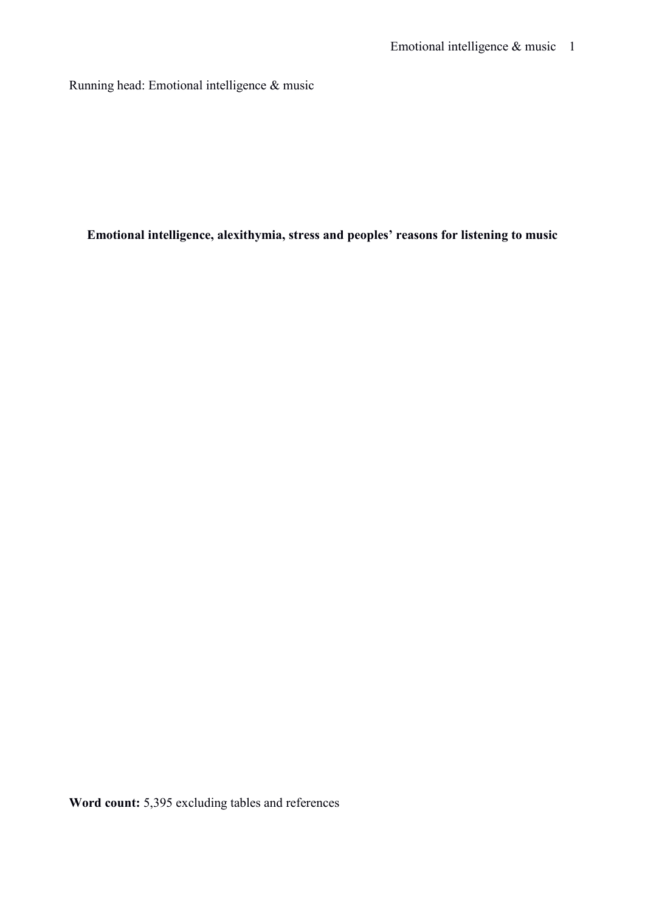Running head: Emotional intelligence & music

**Emotional intelligence, alexithymia, stress and peoples' reasons for listening to music** 

**Word count:** 5,395 excluding tables and references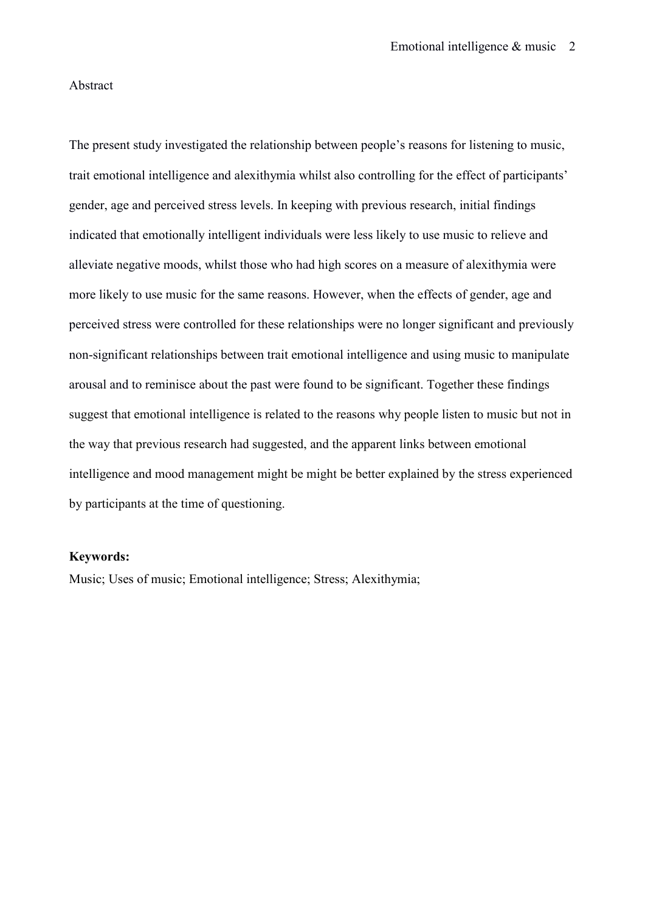#### Abstract

The present study investigated the relationship between people's reasons for listening to music, trait emotional intelligence and alexithymia whilst also controlling for the effect of participants' gender, age and perceived stress levels. In keeping with previous research, initial findings indicated that emotionally intelligent individuals were less likely to use music to relieve and alleviate negative moods, whilst those who had high scores on a measure of alexithymia were more likely to use music for the same reasons. However, when the effects of gender, age and perceived stress were controlled for these relationships were no longer significant and previously non-significant relationships between trait emotional intelligence and using music to manipulate arousal and to reminisce about the past were found to be significant. Together these findings suggest that emotional intelligence is related to the reasons why people listen to music but not in the way that previous research had suggested, and the apparent links between emotional intelligence and mood management might be might be better explained by the stress experienced by participants at the time of questioning.

#### **Keywords:**

Music; Uses of music; Emotional intelligence; Stress; Alexithymia;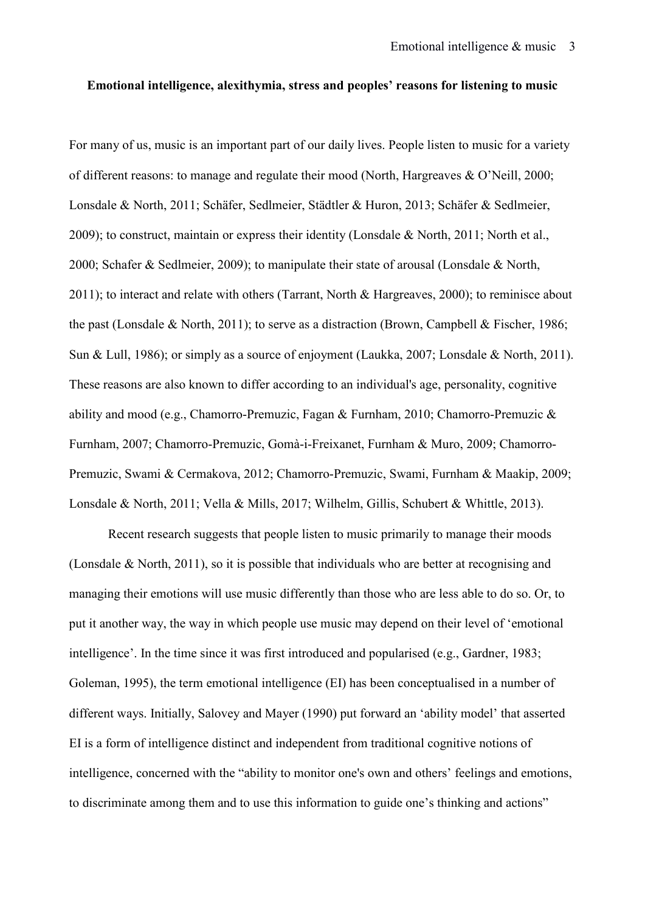#### **Emotional intelligence, alexithymia, stress and peoples' reasons for listening to music**

For many of us, music is an important part of our daily lives. People listen to music for a variety of different reasons: to manage and regulate their mood (North, Hargreaves & O'Neill, 2000; Lonsdale & North, 2011; Schäfer, Sedlmeier, Städtler & Huron, 2013; Schäfer & Sedlmeier, 2009); to construct, maintain or express their identity (Lonsdale & North, 2011; North et al., 2000; Schafer & Sedlmeier, 2009); to manipulate their state of arousal (Lonsdale & North, 2011); to interact and relate with others (Tarrant, North & Hargreaves, 2000); to reminisce about the past (Lonsdale & North, 2011); to serve as a distraction (Brown, Campbell & Fischer, 1986; Sun & Lull, 1986); or simply as a source of enjoyment (Laukka, 2007; Lonsdale & North, 2011). These reasons are also known to differ according to an individual's age, personality, cognitive ability and mood (e.g., Chamorro-Premuzic, Fagan & Furnham, 2010; Chamorro-Premuzic & Furnham, 2007; Chamorro-Premuzic, Gomà-i-Freixanet, Furnham & Muro, 2009; Chamorro-Premuzic, Swami & Cermakova, 2012; Chamorro-Premuzic, Swami, Furnham & Maakip, 2009; Lonsdale & North, 2011; Vella & Mills, 2017; Wilhelm, Gillis, Schubert & Whittle, 2013).

Recent research suggests that people listen to music primarily to manage their moods (Lonsdale & North, 2011), so it is possible that individuals who are better at recognising and managing their emotions will use music differently than those who are less able to do so. Or, to put it another way, the way in which people use music may depend on their level of 'emotional intelligence'. In the time since it was first introduced and popularised (e.g., Gardner, 1983; Goleman, 1995), the term emotional intelligence (EI) has been conceptualised in a number of different ways. Initially, Salovey and Mayer (1990) put forward an 'ability model' that asserted EI is a form of intelligence distinct and independent from traditional cognitive notions of intelligence, concerned with the "ability to monitor one's own and others' feelings and emotions, to discriminate among them and to use this information to guide one's thinking and actions"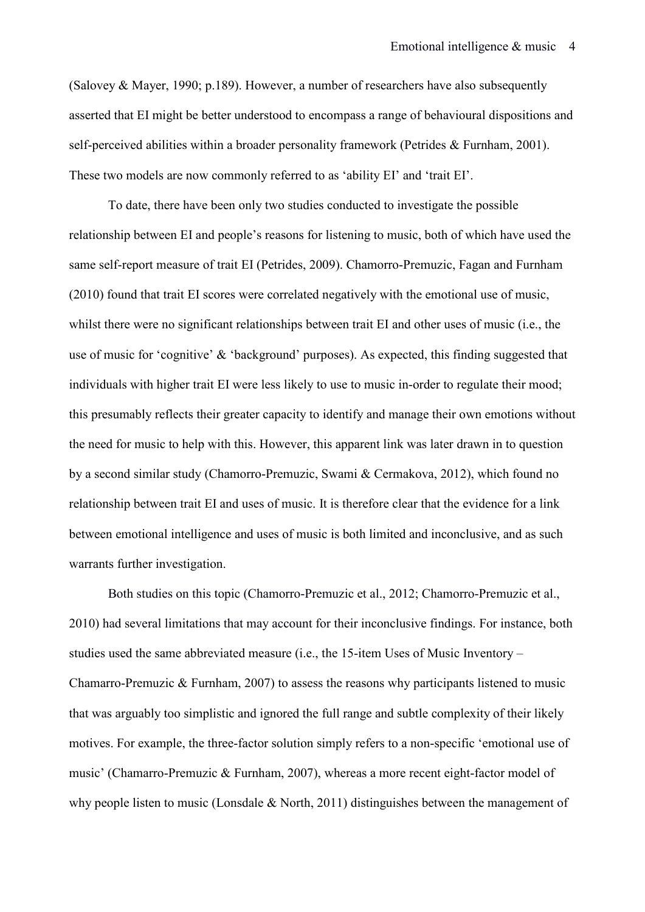(Salovey & Mayer, 1990; p.189). However, a number of researchers have also subsequently asserted that EI might be better understood to encompass a range of behavioural dispositions and self-perceived abilities within a broader personality framework (Petrides & Furnham, 2001). These two models are now commonly referred to as 'ability EI' and 'trait EI'.

 To date, there have been only two studies conducted to investigate the possible relationship between EI and people's reasons for listening to music, both of which have used the same self-report measure of trait EI (Petrides, 2009). Chamorro-Premuzic, Fagan and Furnham (2010) found that trait EI scores were correlated negatively with the emotional use of music, whilst there were no significant relationships between trait EI and other uses of music (i.e., the use of music for 'cognitive' & 'background' purposes). As expected, this finding suggested that individuals with higher trait EI were less likely to use to music in-order to regulate their mood; this presumably reflects their greater capacity to identify and manage their own emotions without the need for music to help with this. However, this apparent link was later drawn in to question by a second similar study (Chamorro-Premuzic, Swami & Cermakova, 2012), which found no relationship between trait EI and uses of music. It is therefore clear that the evidence for a link between emotional intelligence and uses of music is both limited and inconclusive, and as such warrants further investigation.

Both studies on this topic (Chamorro-Premuzic et al., 2012; Chamorro-Premuzic et al., 2010) had several limitations that may account for their inconclusive findings. For instance, both studies used the same abbreviated measure (i.e., the 15-item Uses of Music Inventory – Chamarro-Premuzic & Furnham, 2007) to assess the reasons why participants listened to music that was arguably too simplistic and ignored the full range and subtle complexity of their likely motives. For example, the three-factor solution simply refers to a non-specific 'emotional use of music' (Chamarro-Premuzic & Furnham, 2007), whereas a more recent eight-factor model of why people listen to music (Lonsdale & North, 2011) distinguishes between the management of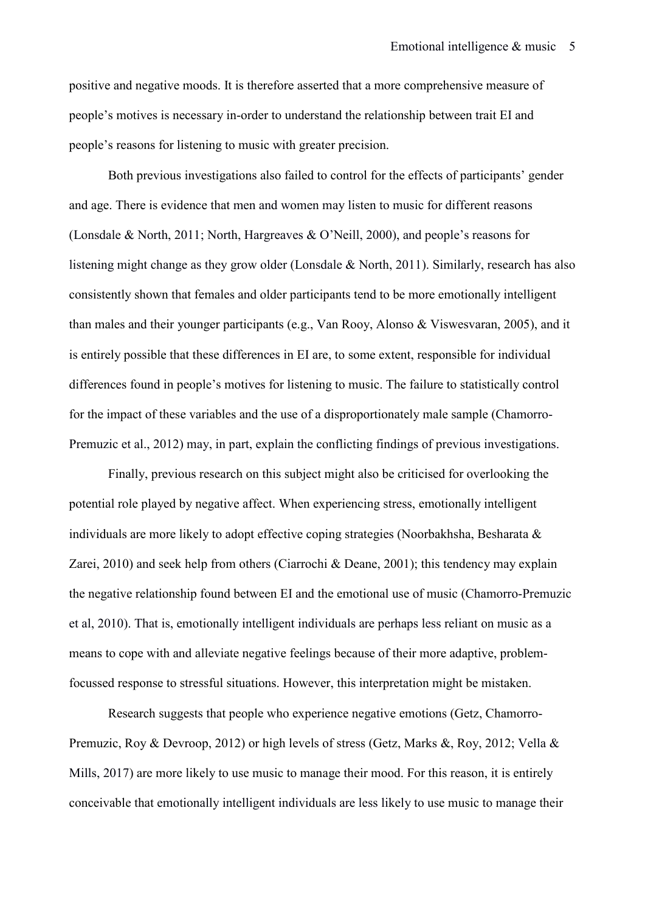positive and negative moods. It is therefore asserted that a more comprehensive measure of people's motives is necessary in-order to understand the relationship between trait EI and people's reasons for listening to music with greater precision.

Both previous investigations also failed to control for the effects of participants' gender and age. There is evidence that men and women may listen to music for different reasons (Lonsdale & North, 2011; North, Hargreaves & O'Neill, 2000), and people's reasons for listening might change as they grow older (Lonsdale & North, 2011). Similarly, research has also consistently shown that females and older participants tend to be more emotionally intelligent than males and their younger participants (e.g., Van Rooy, Alonso & Viswesvaran, 2005), and it is entirely possible that these differences in EI are, to some extent, responsible for individual differences found in people's motives for listening to music. The failure to statistically control for the impact of these variables and the use of a disproportionately male sample (Chamorro-Premuzic et al., 2012) may, in part, explain the conflicting findings of previous investigations.

 Finally, previous research on this subject might also be criticised for overlooking the potential role played by negative affect. When experiencing stress, emotionally intelligent individuals are more likely to adopt effective coping strategies (Noorbakhsha, Besharata & Zarei, 2010) and seek help from others (Ciarrochi & Deane, 2001); this tendency may explain the negative relationship found between EI and the emotional use of music (Chamorro-Premuzic et al, 2010). That is, emotionally intelligent individuals are perhaps less reliant on music as a means to cope with and alleviate negative feelings because of their more adaptive, problemfocussed response to stressful situations. However, this interpretation might be mistaken.

Research suggests that people who experience negative emotions (Getz, Chamorro-Premuzic, Roy & Devroop, 2012) or high levels of stress (Getz, Marks &, Roy, 2012; Vella & Mills, 2017) are more likely to use music to manage their mood. For this reason, it is entirely conceivable that emotionally intelligent individuals are less likely to use music to manage their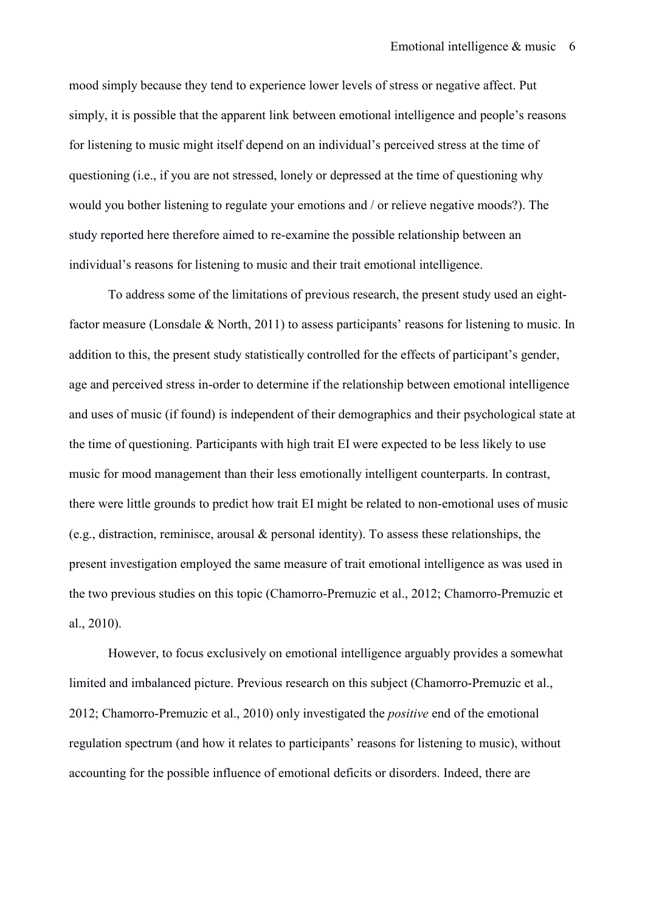mood simply because they tend to experience lower levels of stress or negative affect. Put simply, it is possible that the apparent link between emotional intelligence and people's reasons for listening to music might itself depend on an individual's perceived stress at the time of questioning (i.e., if you are not stressed, lonely or depressed at the time of questioning why would you bother listening to regulate your emotions and / or relieve negative moods?). The study reported here therefore aimed to re-examine the possible relationship between an individual's reasons for listening to music and their trait emotional intelligence.

To address some of the limitations of previous research, the present study used an eightfactor measure (Lonsdale & North, 2011) to assess participants' reasons for listening to music. In addition to this, the present study statistically controlled for the effects of participant's gender, age and perceived stress in-order to determine if the relationship between emotional intelligence and uses of music (if found) is independent of their demographics and their psychological state at the time of questioning. Participants with high trait EI were expected to be less likely to use music for mood management than their less emotionally intelligent counterparts. In contrast, there were little grounds to predict how trait EI might be related to non-emotional uses of music (e.g., distraction, reminisce, arousal & personal identity). To assess these relationships, the present investigation employed the same measure of trait emotional intelligence as was used in the two previous studies on this topic (Chamorro-Premuzic et al., 2012; Chamorro-Premuzic et al., 2010).

However, to focus exclusively on emotional intelligence arguably provides a somewhat limited and imbalanced picture. Previous research on this subject (Chamorro-Premuzic et al., 2012; Chamorro-Premuzic et al., 2010) only investigated the *positive* end of the emotional regulation spectrum (and how it relates to participants' reasons for listening to music), without accounting for the possible influence of emotional deficits or disorders. Indeed, there are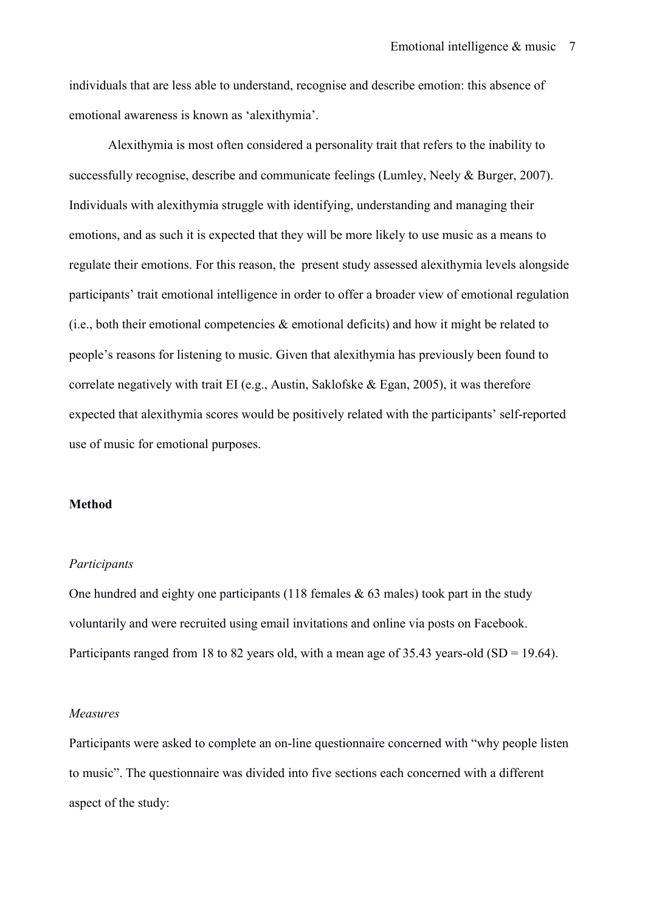individuals that are less able to understand, recognise and describe emotion: this absence of emotional awareness is known as 'alexithymia'.

Alexithymia is most often considered a personality trait that refers to the inability to successfully recognise, describe and communicate feelings (Lumley, Neely & Burger, 2007). Individuals with alexithymia struggle with identifying, understanding and managing their emotions, and as such it is expected that they will be more likely to use music as a means to regulate their emotions. For this reason, the present study assessed alexithymia levels alongside participants' trait emotional intelligence in order to offer a broader view of emotional regulation (i.e., both their emotional competencies  $\&$  emotional deficits) and how it might be related to people's reasons for listening to music. Given that alexithymia has previously been found to correlate negatively with trait EI (e.g., Austin, Saklofske & Egan, 2005), it was therefore expected that alexithymia scores would be positively related with the participants' self-reported use of music for emotional purposes.

#### **Method**

# *Participants*

One hundred and eighty one participants (118 females  $& 63$  males) took part in the study voluntarily and were recruited using email invitations and online via posts on Facebook. Participants ranged from 18 to 82 years old, with a mean age of 35.43 years-old  $(SD = 19.64)$ .

#### *Measures*

Participants were asked to complete an on-line questionnaire concerned with "why people listen to music". The questionnaire was divided into five sections each concerned with a different aspect of the study: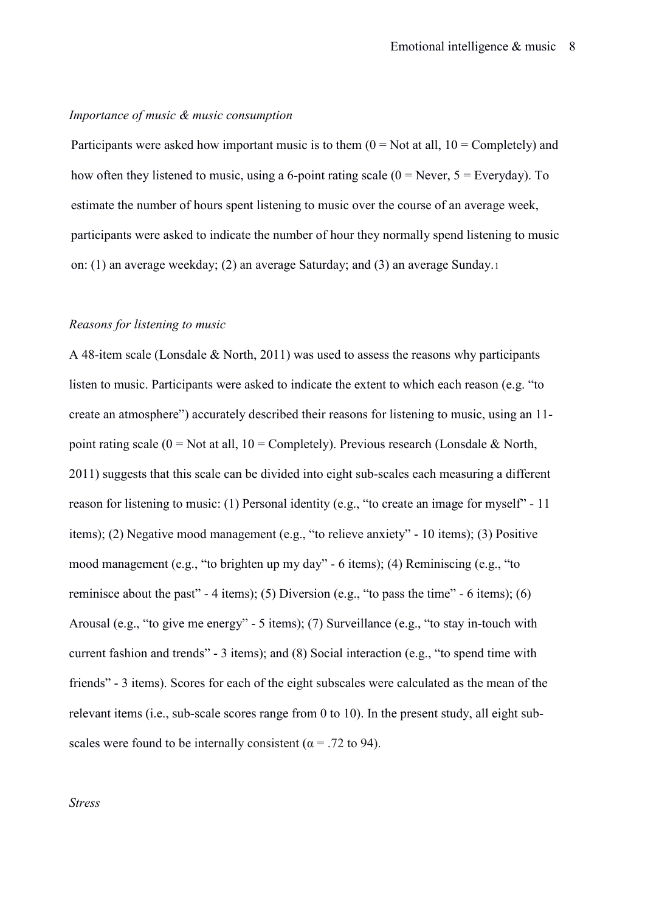#### *Importance of music & music consumption*

Participants were asked how important music is to them  $(0 = Not at all, 10 = Compleley)$  and how often they listened to music, using a 6-point rating scale  $(0 = \text{Never}, 5 = \text{Everyday})$ . To estimate the number of hours spent listening to music over the course of an average week, participants were asked to indicate the number of hour they normally spend listening to music on: (1) an average weekday; (2) an average Saturday; and (3) an average Sunday.[1](#page-19-0) 

#### *Reasons for listening to music*

A 48-item scale (Lonsdale & North, 2011) was used to assess the reasons why participants listen to music. Participants were asked to indicate the extent to which each reason (e.g. "to create an atmosphere") accurately described their reasons for listening to music, using an 11 point rating scale ( $0 = Not$  at all,  $10 = Completely$ ). Previous research (Lonsdale & North, 2011) suggests that this scale can be divided into eight sub-scales each measuring a different reason for listening to music: (1) Personal identity (e.g., "to create an image for myself" - 11 items); (2) Negative mood management (e.g., "to relieve anxiety" - 10 items); (3) Positive mood management (e.g., "to brighten up my day" - 6 items); (4) Reminiscing (e.g., "to reminisce about the past" - 4 items); (5) Diversion (e.g., "to pass the time" - 6 items); (6) Arousal (e.g., "to give me energy" - 5 items); (7) Surveillance (e.g., "to stay in-touch with current fashion and trends" - 3 items); and (8) Social interaction (e.g., "to spend time with friends" - 3 items). Scores for each of the eight subscales were calculated as the mean of the relevant items (i.e., sub-scale scores range from 0 to 10). In the present study, all eight subscales were found to be internally consistent ( $\alpha$  = .72 to 94).

*Stress*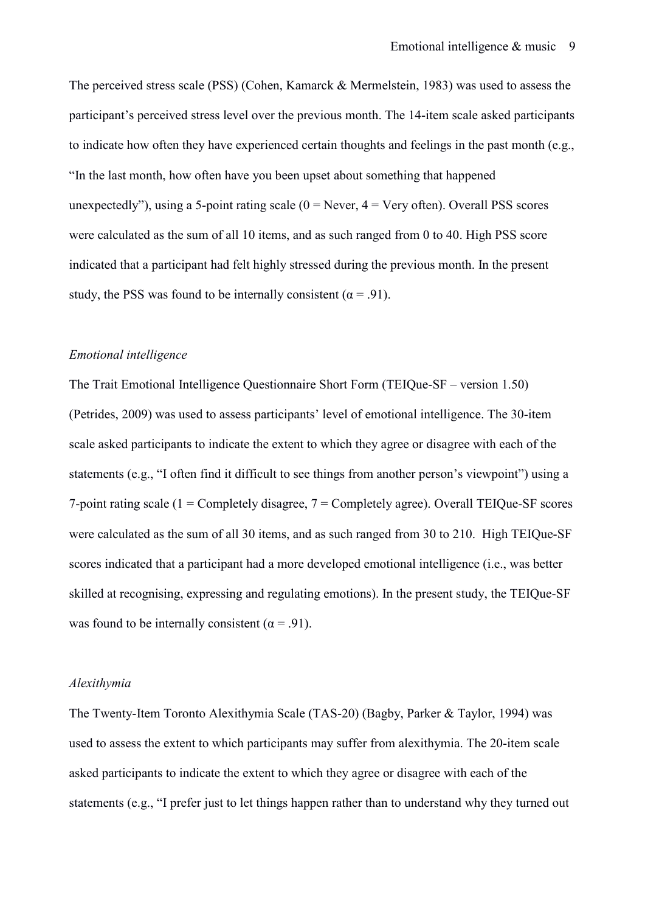The perceived stress scale (PSS) (Cohen, Kamarck & Mermelstein, 1983) was used to assess the participant's perceived stress level over the previous month. The 14-item scale asked participants to indicate how often they have experienced certain thoughts and feelings in the past month (e.g., "In the last month, how often have you been upset about something that happened unexpectedly"), using a 5-point rating scale  $(0 = Never, 4 = Very often)$ . Overall PSS scores were calculated as the sum of all 10 items, and as such ranged from 0 to 40. High PSS score indicated that a participant had felt highly stressed during the previous month. In the present study, the PSS was found to be internally consistent ( $\alpha$  = .91).

## *Emotional intelligence*

The Trait Emotional Intelligence Questionnaire Short Form (TEIQue-SF – version 1.50) (Petrides, 2009) was used to assess participants' level of emotional intelligence. The 30-item scale asked participants to indicate the extent to which they agree or disagree with each of the statements (e.g., "I often find it difficult to see things from another person's viewpoint") using a 7-point rating scale  $(1 = \text{Completely disagree}, 7 = \text{Completely agree})$ . Overall TEIQue-SF scores were calculated as the sum of all 30 items, and as such ranged from 30 to 210. High TEIQue-SF scores indicated that a participant had a more developed emotional intelligence (i.e., was better skilled at recognising, expressing and regulating emotions). In the present study, the TEIQue-SF was found to be internally consistent ( $\alpha$  = .91).

#### *Alexithymia*

The Twenty-Item Toronto Alexithymia Scale (TAS-20) (Bagby, Parker & Taylor, 1994) was used to assess the extent to which participants may suffer from alexithymia. The 20-item scale asked participants to indicate the extent to which they agree or disagree with each of the statements (e.g., "I prefer just to let things happen rather than to understand why they turned out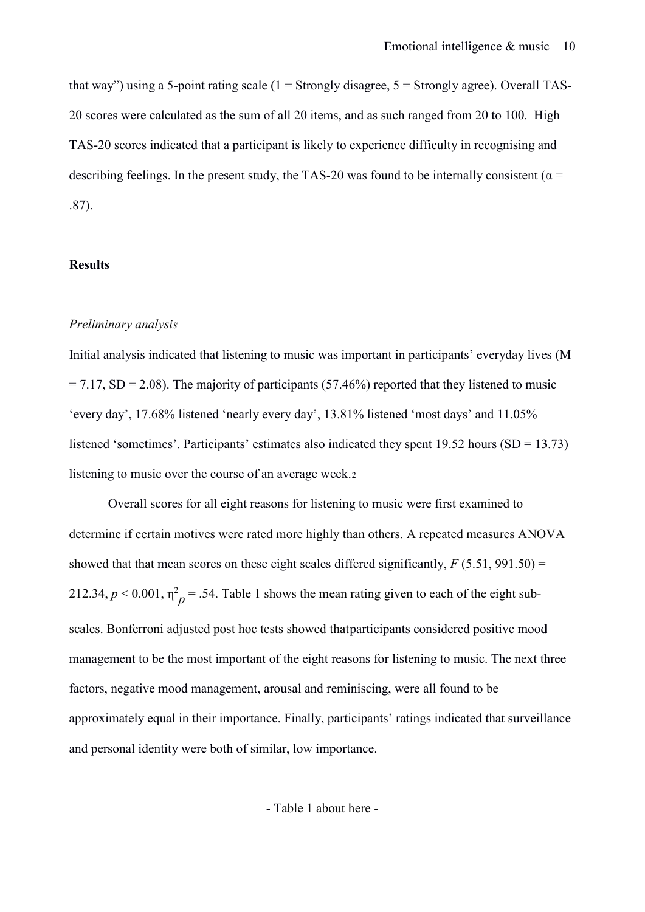that way") using a 5-point rating scale  $(1 =$  Strongly disagree,  $5 =$  Strongly agree). Overall TAS-20 scores were calculated as the sum of all 20 items, and as such ranged from 20 to 100. High TAS-20 scores indicated that a participant is likely to experience difficulty in recognising and describing feelings. In the present study, the TAS-20 was found to be internally consistent ( $\alpha$  = .87).

## **Results**

#### *Preliminary analysis*

Initial analysis indicated that listening to music was important in participants' everyday lives (M  $= 7.17$ , SD = 2.08). The majority of participants (57.46%) reported that they listened to music 'every day', 17.68% listened 'nearly every day', 13.81% listened 'most days' and 11.05% listened 'sometimes'. Participants' estimates also indicated they spent 19.52 hours (SD = 13.73) listening to music over the course of an average week.[2](#page-19-1)

Overall scores for all eight reasons for listening to music were first examined to determine if certain motives were rated more highly than others. A repeated measures ANOVA showed that that mean scores on these eight scales differed significantly,  $F(5.51, 991.50) =$ 212.34,  $p < 0.001$ ,  $\eta_p^2 = .54$ . Table 1 shows the mean rating given to each of the eight subscales. Bonferroni adjusted post hoc tests showed thatparticipants considered positive mood management to be the most important of the eight reasons for listening to music. The next three factors, negative mood management, arousal and reminiscing, were all found to be approximately equal i[n](#page-19-2) their importance. Finally, participants' ratings indicated that surveillance and personal identity were both of similar, low importance.

- Table 1 about here -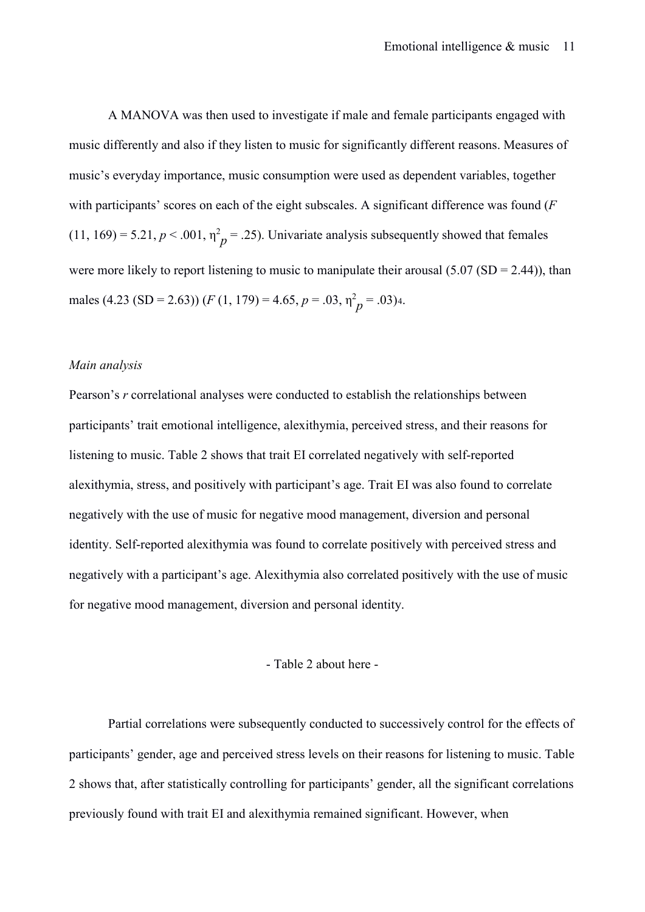A MANOVA was then used to investigate if male and female participants engaged with music differently and also if they listen to music for significantly different reasons. Measures of music's everyday importance, music consumption were used as dependent variables, together with participants' scores on each of the eight subscales. A significant difference was found (*F*  $(11, 169) = 5.21, p < .001, \eta^2 p = .25$ . Univariate analysis subsequently showed that females were more likely to report listening to music to manipulate their arousal  $(5.07 (SD = 2.44))$ , than males ([4](#page-19-3).23 (SD = 2.63)) (*F* (1, 179) = 4.65,  $p = .03$ ,  $\eta^2 p = .03$ )4.

#### *Main analysis*

Pearson's *r* correlational analyses were conducted to establish the relationships between participants' trait emotional intelligence, alexithymia, perceived stress, and their reasons for listening to music. Table 2 shows that trait EI correlated negatively with self-reported alexithymia, stress, and positively with participant's age. Trait EI was also found to correlate negatively with the use of music for negative mood management, diversion and personal identity. Self-reported alexithymia was found to correlate positively with perceived stress and negatively with a participant's age. Alexithymia also correlated positively with the use of music for negative mood management, diversion and personal identity.

# - Table 2 about here -

Partial correlations were subsequently conducted to successively control for the effects of participants' gender, age and perceived stress levels on their reasons for listening to music. Table 2 shows that, after statistically controlling for participants' gender, all the significant correlations previously found with trait EI and alexithymia remained significant. However, when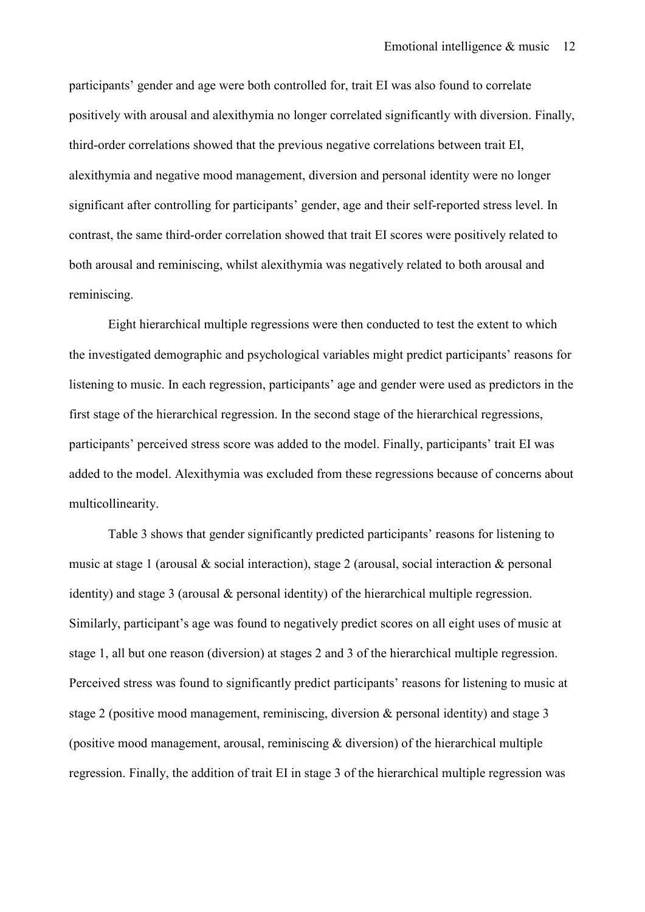participants' gender and age were both controlled for, trait EI was also found to correlate positively with arousal and alexithymia no longer correlated significantly with diversion. Finally, third-order correlations showed that the previous negative correlations between trait EI, alexithymia and negative mood management, diversion and personal identity were no longer significant after controlling for participants' gender, age and their self-reported stress level. In contrast, the same third-order correlation showed that trait EI scores were positively related to both arousal and reminiscing, whilst alexithymia was negatively related to both arousal and reminiscing.

Eight hierarchical multiple regressions were then conducted to test the extent to which the investigated demographic and psychological variables might predict participants' reasons for listening to music. In each regression, participants' age and gender were used as predictors in the first stage of the hierarchical regression. In the second stage of the hierarchical regressions, participants' perceived stress score was added to the model. Finally, participants' trait EI was added to the model. Alexithymia was excluded from these regressions because of concerns about multicollinearity.

Table 3 shows that gender significantly predicted participants' reasons for listening to music at stage 1 (arousal & social interaction), stage 2 (arousal, social interaction & personal identity) and stage 3 (arousal & personal identity) of the hierarchical multiple regression. Similarly, participant's age was found to negatively predict scores on all eight uses of music at stage 1, all but one reason (diversion) at stages 2 and 3 of the hierarchical multiple regression. Perceived stress was found to significantly predict participants' reasons for listening to music at stage 2 (positive mood management, reminiscing, diversion & personal identity) and stage 3 (positive mood management, arousal, reminiscing  $\&$  diversion) of the hierarchical multiple regression. Finally, the addition of trait EI in stage 3 of the hierarchical multiple regression was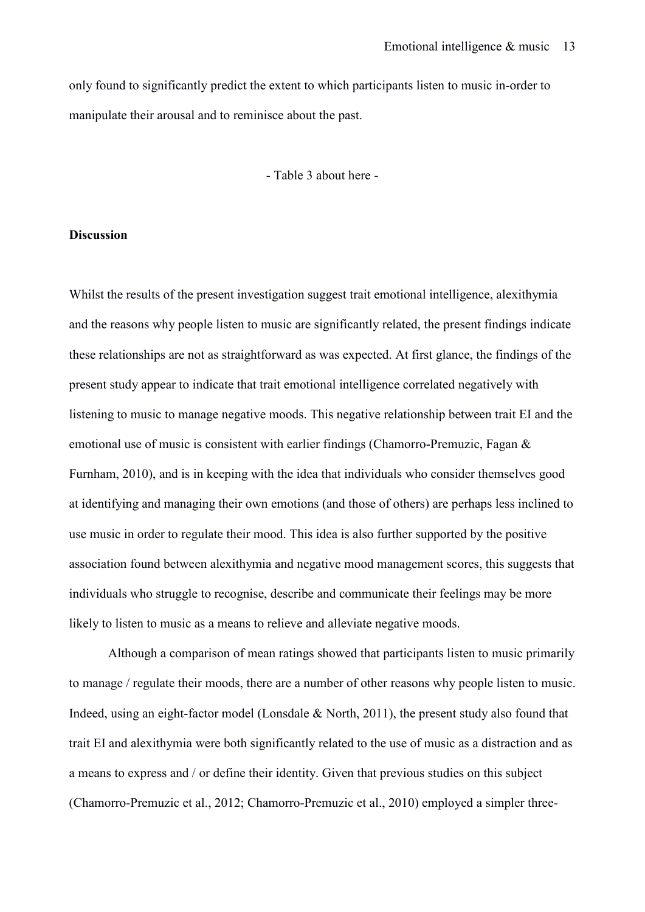only found to significantly predict the extent to which participants listen to music in-order to manipulate their arousal and to reminisce about the past.

- Table 3 about here -

#### **Discussion**

Whilst the results of the present investigation suggest trait emotional intelligence, alexithymia and the reasons why people listen to music are significantly related, the present findings indicate these relationships are not as straightforward as was expected. At first glance, the findings of the present study appear to indicate that trait emotional intelligence correlated negatively with listening to music to manage negative moods. This negative relationship between trait EI and the emotional use of music is consistent with earlier findings (Chamorro-Premuzic, Fagan & Furnham, 2010), and is in keeping with the idea that individuals who consider themselves good at identifying and managing their own emotions (and those of others) are perhaps less inclined to use music in order to regulate their mood. This idea is also further supported by the positive association found between alexithymia and negative mood management scores, this suggests that individuals who struggle to recognise, describe and communicate their feelings may be more likely to listen to music as a means to relieve and alleviate negative moods.

 Although a comparison of mean ratings showed that participants listen to music primarily to manage / regulate their moods, there are a number of other reasons why people listen to music. Indeed, using an eight-factor model (Lonsdale & North, 2011), the present study also found that trait EI and alexithymia were both significantly related to the use of music as a distraction and as a means to express and / or define their identity. Given that previous studies on this subject (Chamorro-Premuzic et al., 2012; Chamorro-Premuzic et al., 2010) employed a simpler three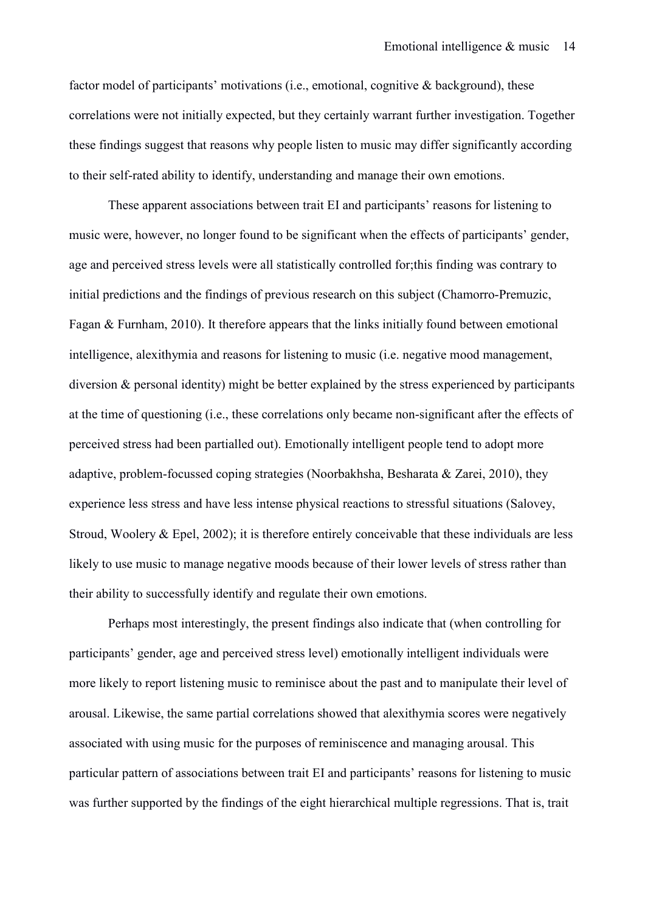factor model of participants' motivations (i.e., emotional, cognitive & background), these correlations were not initially expected, but they certainly warrant further investigation. Together these findings suggest that reasons why people listen to music may differ significantly according to their self-rated ability to identify, understanding and manage their own emotions.

These apparent associations between trait EI and participants' reasons for listening to music were, however, no longer found to be significant when the effects of participants' gender, age and perceived stress levels were all statistically controlled for;this finding was contrary to initial predictions and the findings of previous research on this subject (Chamorro-Premuzic, Fagan & Furnham, 2010). It therefore appears that the links initially found between emotional intelligence, alexithymia and reasons for listening to music (i.e. negative mood management, diversion & personal identity) might be better explained by the stress experienced by participants at the time of questioning (i.e., these correlations only became non-significant after the effects of perceived stress had been partialled out). Emotionally intelligent people tend to adopt more adaptive, problem-focussed coping strategies (Noorbakhsha, Besharata & Zarei, 2010), they experience less stress and have less intense physical reactions to stressful situations (Salovey, Stroud, Woolery & Epel, 2002); it is therefore entirely conceivable that these individuals are less likely to use music to manage negative moods because of their lower levels of stress rather than their ability to successfully identify and regulate their own emotions.

Perhaps most interestingly, the present findings also indicate that (when controlling for participants' gender, age and perceived stress level) emotionally intelligent individuals were more likely to report listening music to reminisce about the past and to manipulate their level of arousal. Likewise, the same partial correlations showed that alexithymia scores were negatively associated with using music for the purposes of reminiscence and managing arousal. This particular pattern of associations between trait EI and participants' reasons for listening to music was further supported by the findings of the eight hierarchical multiple regressions. That is, trait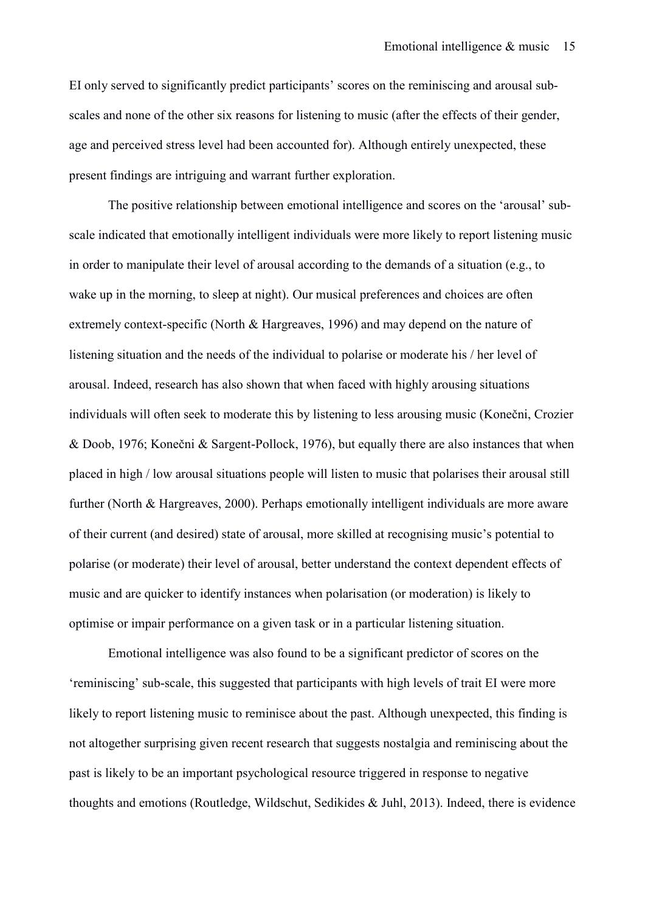EI only served to significantly predict participants' scores on the reminiscing and arousal subscales and none of the other six reasons for listening to music (after the effects of their gender, age and perceived stress level had been accounted for). Although entirely unexpected, these present findings are intriguing and warrant further exploration.

The positive relationship between emotional intelligence and scores on the 'arousal' subscale indicated that emotionally intelligent individuals were more likely to report listening music in order to manipulate their level of arousal according to the demands of a situation (e.g., to wake up in the morning, to sleep at night). Our musical preferences and choices are often extremely context-specific (North & Hargreaves, 1996) and may depend on the nature of listening situation and the needs of the individual to polarise or moderate his / her level of arousal. Indeed, research has also shown that when faced with highly arousing situations individuals will often seek to moderate this by listening to less arousing music (Konečni, Crozier & Doob, 1976; Konečni & Sargent-Pollock, 1976), but equally there are also instances that when placed in high / low arousal situations people will listen to music that polarises their arousal still further (North & Hargreaves, 2000). Perhaps emotionally intelligent individuals are more aware of their current (and desired) state of arousal, more skilled at recognising music's potential to polarise (or moderate) their level of arousal, better understand the context dependent effects of music and are quicker to identify instances when polarisation (or moderation) is likely to optimise or impair performance on a given task or in a particular listening situation.

Emotional intelligence was also found to be a significant predictor of scores on the 'reminiscing' sub-scale, this suggested that participants with high levels of trait EI were more likely to report listening music to reminisce about the past. Although unexpected, this finding is not altogether surprising given recent research that suggests nostalgia and reminiscing about the past is likely to be an important psychological resource triggered in response to negative thoughts and emotions (Routledge, Wildschut, Sedikides & Juhl, 2013). Indeed, there is evidence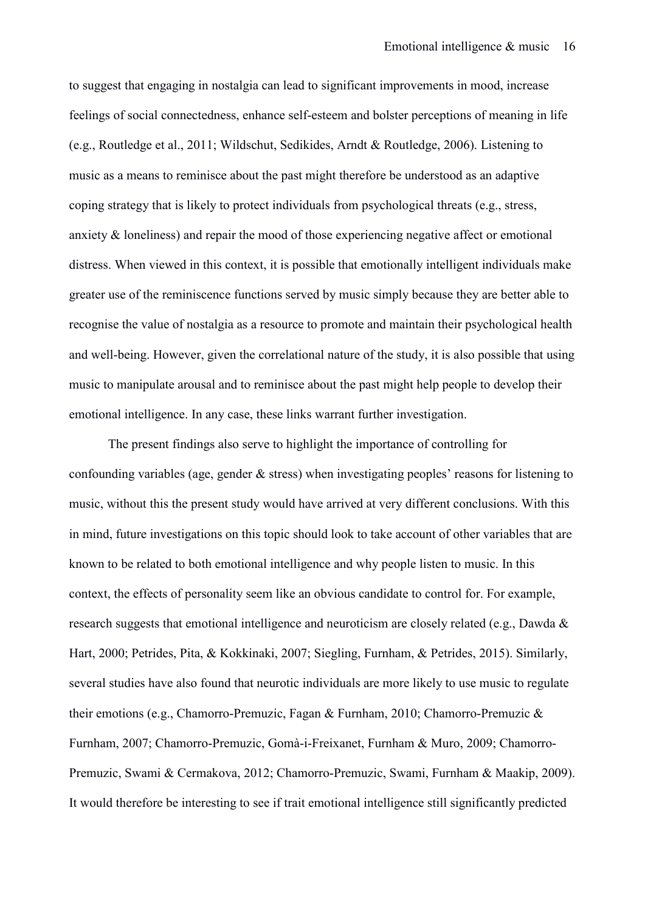to suggest that engaging in nostalgia can lead to significant improvements in mood, increase feelings of social connectedness, enhance self-esteem and bolster perceptions of meaning in life (e.g., Routledge et al., 2011; Wildschut, Sedikides, Arndt & Routledge, 2006). Listening to music as a means to reminisce about the past might therefore be understood as an adaptive coping strategy that is likely to protect individuals from psychological threats (e.g., stress, anxiety & loneliness) and repair the mood of those experiencing negative affect or emotional distress. When viewed in this context, it is possible that emotionally intelligent individuals make greater use of the reminiscence functions served by music simply because they are better able to recognise the value of nostalgia as a resource to promote and maintain their psychological health and well-being. However, given the correlational nature of the study, it is also possible that using music to manipulate arousal and to reminisce about the past might help people to develop their emotional intelligence. In any case, these links warrant further investigation.

The present findings also serve to highlight the importance of controlling for confounding variables (age, gender & stress) when investigating peoples' reasons for listening to music, without this the present study would have arrived at very different conclusions. With this in mind, future investigations on this topic should look to take account of other variables that are known to be related to both emotional intelligence and why people listen to music. In this context, the effects of personality seem like an obvious candidate to control for. For example, research suggests that emotional intelligence and neuroticism are closely related (e.g., Dawda & Hart, 2000; Petrides, Pita, & Kokkinaki, 2007; Siegling, Furnham, & Petrides, 2015). Similarly, several studies have also found that neurotic individuals are more likely to use music to regulate their emotions (e.g., Chamorro-Premuzic, Fagan & Furnham, 2010; Chamorro-Premuzic & Furnham, 2007; Chamorro-Premuzic, Gomà-i-Freixanet, Furnham & Muro, 2009; Chamorro-Premuzic, Swami & Cermakova, 2012; Chamorro-Premuzic, Swami, Furnham & Maakip, 2009). It would therefore be interesting to see if trait emotional intelligence still significantly predicted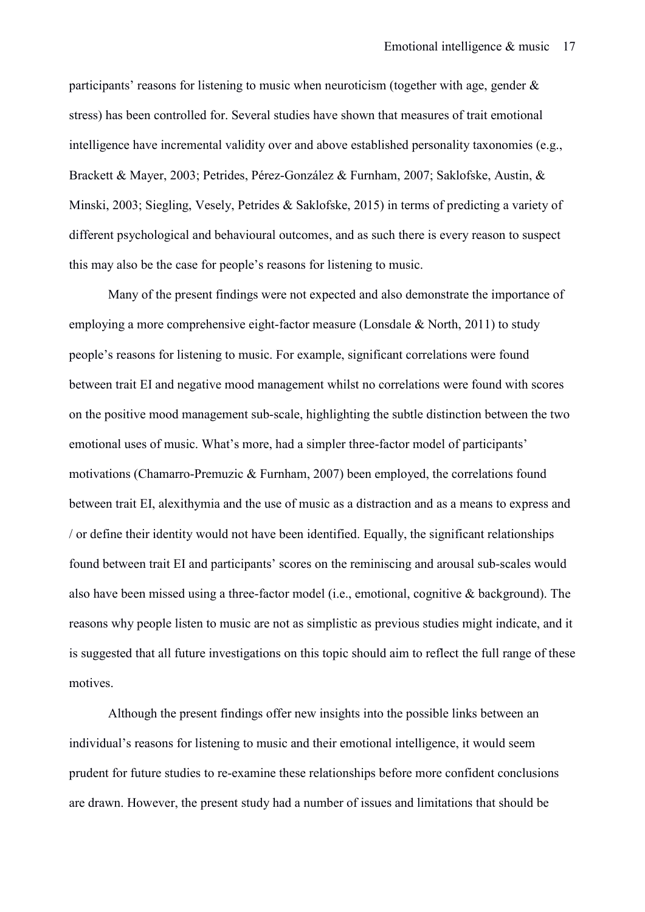participants' reasons for listening to music when neuroticism (together with age, gender & stress) has been controlled for. Several studies have shown that measures of trait emotional intelligence have incremental validity over and above established personality taxonomies (e.g., Brackett & Mayer, 2003; Petrides, Pérez-González & Furnham, 2007; Saklofske, Austin, & Minski, 2003; Siegling, Vesely, Petrides & Saklofske, 2015) in terms of predicting a variety of different psychological and behavioural outcomes, and as such there is every reason to suspect this may also be the case for people's reasons for listening to music.

Many of the present findings were not expected and also demonstrate the importance of employing a more comprehensive eight-factor measure (Lonsdale & North, 2011) to study people's reasons for listening to music. For example, significant correlations were found between trait EI and negative mood management whilst no correlations were found with scores on the positive mood management sub-scale, highlighting the subtle distinction between the two emotional uses of music. What's more, had a simpler three-factor model of participants' motivations (Chamarro-Premuzic & Furnham, 2007) been employed, the correlations found between trait EI, alexithymia and the use of music as a distraction and as a means to express and / or define their identity would not have been identified. Equally, the significant relationships found between trait EI and participants' scores on the reminiscing and arousal sub-scales would also have been missed using a three-factor model (i.e., emotional, cognitive & background). The reasons why people listen to music are not as simplistic as previous studies might indicate, and it is suggested that all future investigations on this topic should aim to reflect the full range of these motives.

Although the present findings offer new insights into the possible links between an individual's reasons for listening to music and their emotional intelligence, it would seem prudent for future studies to re-examine these relationships before more confident conclusions are drawn. However, the present study had a number of issues and limitations that should be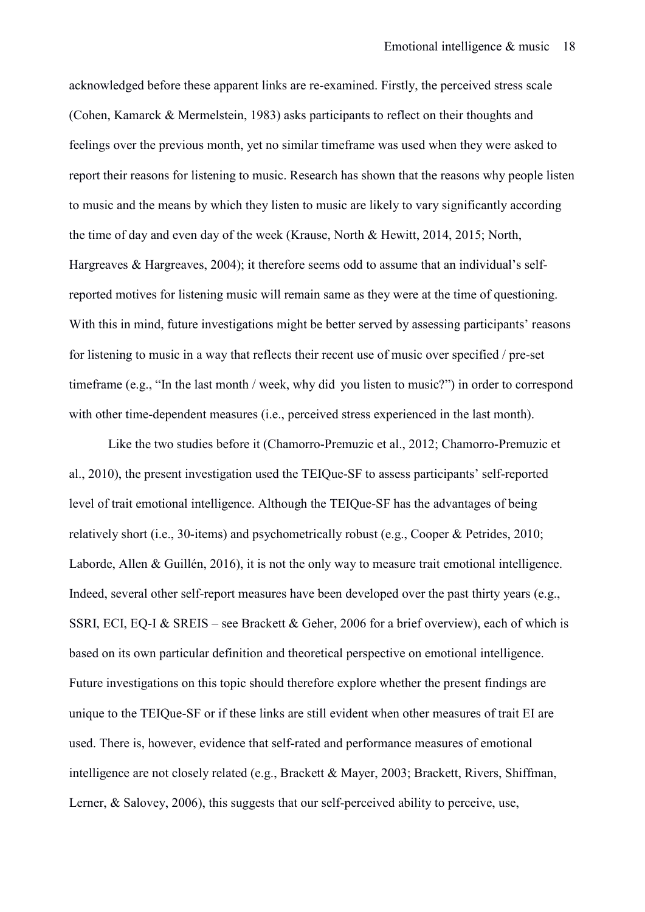acknowledged before these apparent links are re-examined. Firstly, the perceived stress scale (Cohen, Kamarck & Mermelstein, 1983) asks participants to reflect on their thoughts and feelings over the previous month, yet no similar timeframe was used when they were asked to report their reasons for listening to music. Research has shown that the reasons why people listen to music and the means by which they listen to music are likely to vary significantly according the time of day and even day of the week (Krause, North & Hewitt, 2014, 2015; North, Hargreaves & Hargreaves, 2004); it therefore seems odd to assume that an individual's selfreported motives for listening music will remain same as they were at the time of questioning. With this in mind, future investigations might be better served by assessing participants' reasons for listening to music in a way that reflects their recent use of music over specified / pre-set timeframe (e.g., "In the last month / week, why did you listen to music?") in order to correspond with other time-dependent measures (i.e., perceived stress experienced in the last month).

Like the two studies before it (Chamorro-Premuzic et al., 2012; Chamorro-Premuzic et al., 2010), the present investigation used the TEIQue-SF to assess participants' self-reported level of trait emotional intelligence. Although the TEIQue-SF has the advantages of being relatively short (i.e., 30-items) and psychometrically robust (e.g., Cooper & Petrides, 2010; Laborde, Allen & Guillén, 2016), it is not the only way to measure trait emotional intelligence. Indeed, several other self-report measures have been developed over the past thirty years (e.g., SSRI, ECI, EQ-I & SREIS – see Brackett & Geher, 2006 for a brief overview), each of which is based on its own particular definition and theoretical perspective on emotional intelligence. Future investigations on this topic should therefore explore whether the present findings are unique to the TEIQue-SF or if these links are still evident when other measures of trait EI are used. There is, however, evidence that self-rated and performance measures of emotional intelligence are not closely related (e.g., Brackett & Mayer, 2003; Brackett, Rivers, Shiffman, Lerner, & Salovey, 2006), this suggests that our self-perceived ability to perceive, use,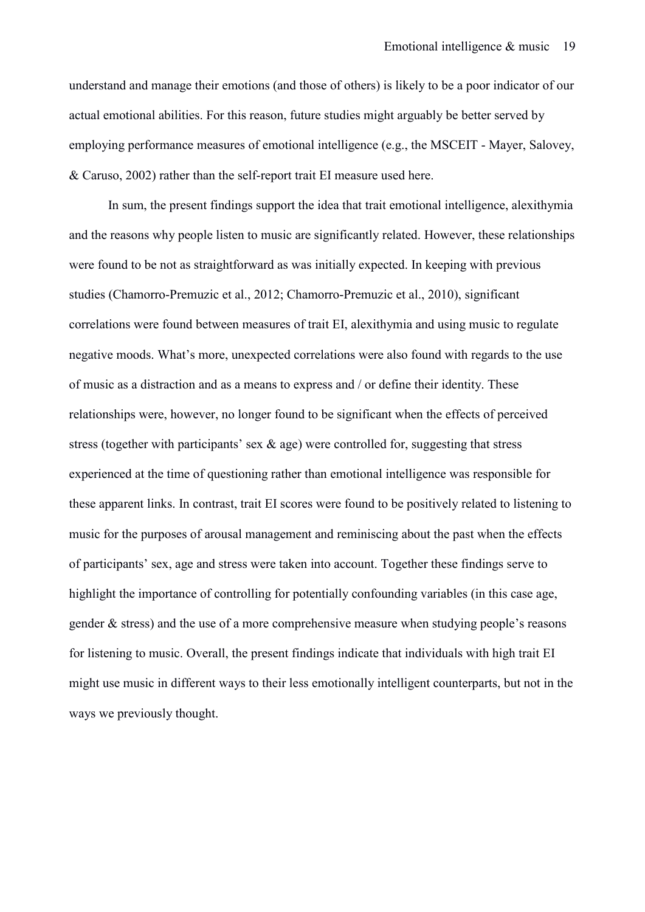understand and manage their emotions (and those of others) is likely to be a poor indicator of our actual emotional abilities. For this reason, future studies might arguably be better served by employing performance measures of emotional intelligence (e.g., the MSCEIT - Mayer, Salovey, & Caruso, 2002) rather than the self-report trait EI measure used here.

 In sum, the present findings support the idea that trait emotional intelligence, alexithymia and the reasons why people listen to music are significantly related. However, these relationships were found to be not as straightforward as was initially expected. In keeping with previous studies (Chamorro-Premuzic et al., 2012; Chamorro-Premuzic et al., 2010), significant correlations were found between measures of trait EI, alexithymia and using music to regulate negative moods. What's more, unexpected correlations were also found with regards to the use of music as a distraction and as a means to express and / or define their identity. These relationships were, however, no longer found to be significant when the effects of perceived stress (together with participants' sex & age) were controlled for, suggesting that stress experienced at the time of questioning rather than emotional intelligence was responsible for these apparent links. In contrast, trait EI scores were found to be positively related to listening to music for the purposes of arousal management and reminiscing about the past when the effects of participants' sex, age and stress were taken into account. Together these findings serve to highlight the importance of controlling for potentially confounding variables (in this case age, gender & stress) and the use of a more comprehensive measure when studying people's reasons for listening to music. Overall, the present findings indicate that individuals with high trait EI might use music in different ways to their less emotionally intelligent counterparts, but not in the ways we previously thought.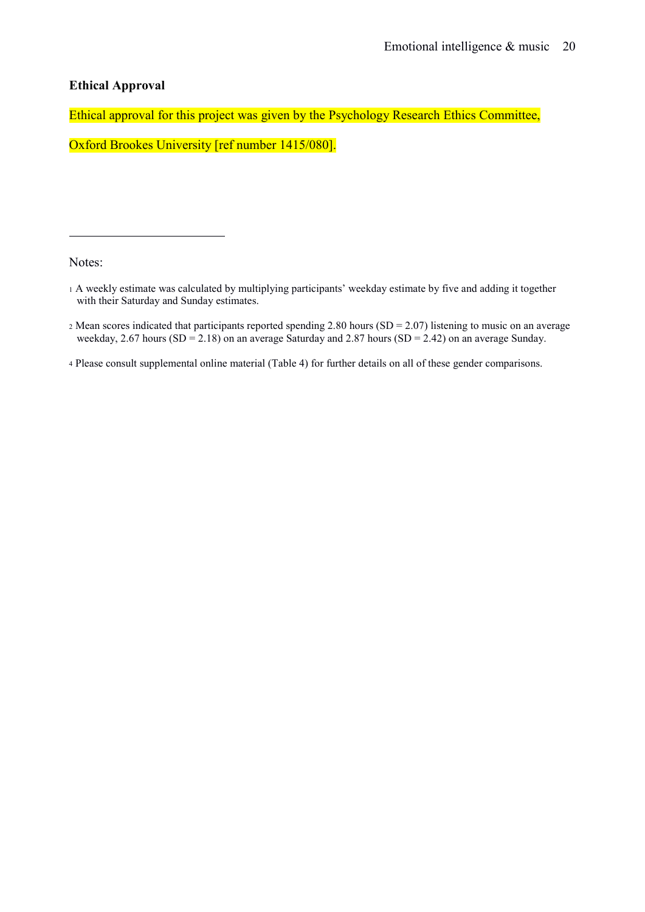# **Ethical Approval**

Ethical approval for this project was given by the Psychology Research Ethics Committee,

Oxford Brookes University [ref number 1415/080].

Notes:

 $\overline{a}$ 

<sup>2</sup> Mean scores indicated that participants reported spending 2.80 hours (SD = 2.07) listening to music on an average weekday, 2.67 hours  $(SD = 2.18)$  on an average Saturday and 2.87 hours  $(SD = 2.42)$  on an average Sunday.

<span id="page-19-3"></span><span id="page-19-2"></span><span id="page-19-1"></span><span id="page-19-0"></span><sup>4</sup> Please consult supplemental online material (Table 4) for further details on all of these gender comparisons.

<sup>1</sup> A weekly estimate was calculated by multiplying participants' weekday estimate by five and adding it together with their Saturday and Sunday estimates.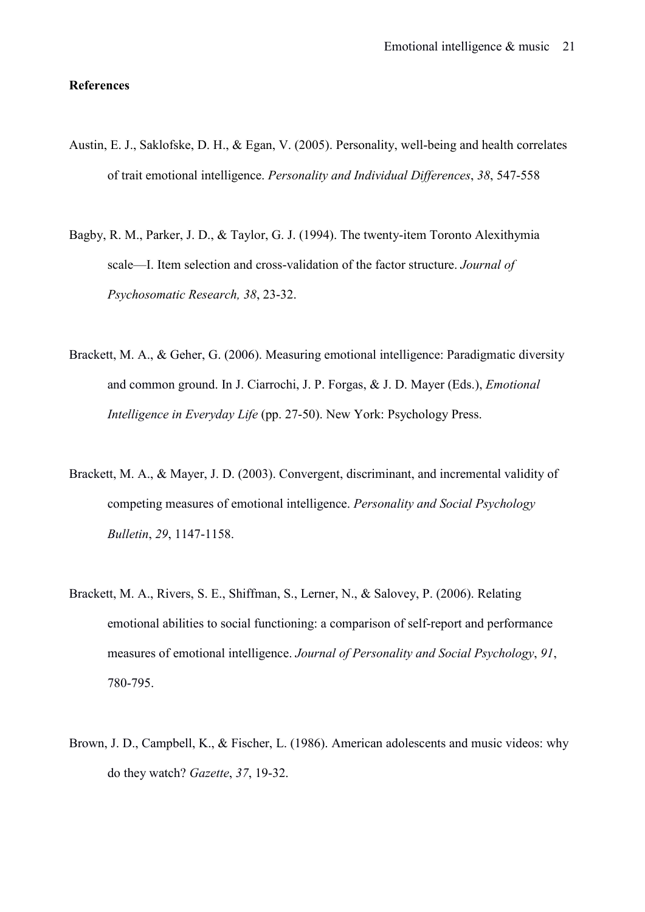#### **References**

- Austin, E. J., Saklofske, D. H., & Egan, V. (2005). Personality, well-being and health correlates of trait emotional intelligence. *Personality and Individual Differences*, *38*, 547-558
- Bagby, R. M., Parker, J. D., & Taylor, G. J. (1994). The twenty-item Toronto Alexithymia scale—I. Item selection and cross-validation of the factor structure. *Journal of Psychosomatic Research, 38*, 23-32.
- Brackett, M. A., & Geher, G. (2006). Measuring emotional intelligence: Paradigmatic diversity and common ground. In J. Ciarrochi, J. P. Forgas, & J. D. Mayer (Eds.), *Emotional Intelligence in Everyday Life* (pp. 27-50). New York: Psychology Press.
- Brackett, M. A., & Mayer, J. D. (2003). Convergent, discriminant, and incremental validity of competing measures of emotional intelligence. *Personality and Social Psychology Bulletin*, *29*, 1147-1158.
- Brackett, M. A., Rivers, S. E., Shiffman, S., Lerner, N., & Salovey, P. (2006). Relating emotional abilities to social functioning: a comparison of self-report and performance measures of emotional intelligence. *Journal of Personality and Social Psychology*, *91*, 780-795.
- Brown, J. D., Campbell, K., & Fischer, L. (1986). American adolescents and music videos: why do they watch? *Gazette*, *37*, 19-32.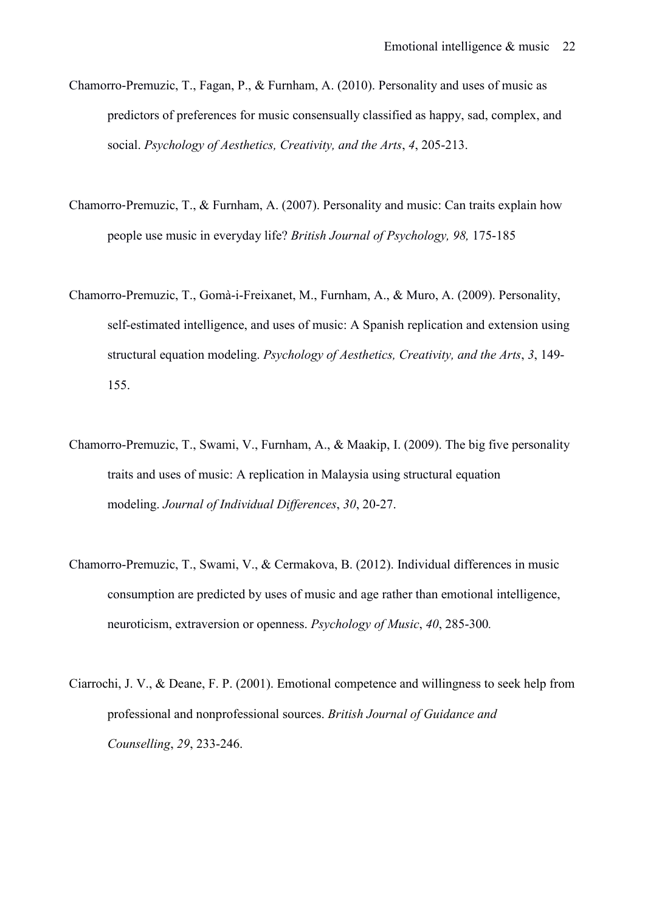- Chamorro-Premuzic, T., Fagan, P., & Furnham, A. (2010). Personality and uses of music as predictors of preferences for music consensually classified as happy, sad, complex, and social. *Psychology of Aesthetics, Creativity, and the Arts*, *4*, 205-213.
- Chamorro‐Premuzic, T., & Furnham, A. (2007). Personality and music: Can traits explain how people use music in everyday life? *British Journal of Psychology, 98,* 175-185
- Chamorro-Premuzic, T., Gomà-i-Freixanet, M., Furnham, A., & Muro, A. (2009). Personality, self-estimated intelligence, and uses of music: A Spanish replication and extension using structural equation modeling. *Psychology of Aesthetics, Creativity, and the Arts*, *3*, 149- 155.
- Chamorro-Premuzic, T., Swami, V., Furnham, A., & Maakip, I. (2009). The big five personality traits and uses of music: A replication in Malaysia using structural equation modeling. *Journal of Individual Differences*, *30*, 20-27.
- Chamorro-Premuzic, T., Swami, V., & Cermakova, B. (2012). Individual differences in music consumption are predicted by uses of music and age rather than emotional intelligence, neuroticism, extraversion or openness. *Psychology of Music*, *40*, 285-300*.*
- Ciarrochi, J. V., & Deane, F. P. (2001). Emotional competence and willingness to seek help from professional and nonprofessional sources. *British Journal of Guidance and Counselling*, *29*, 233-246.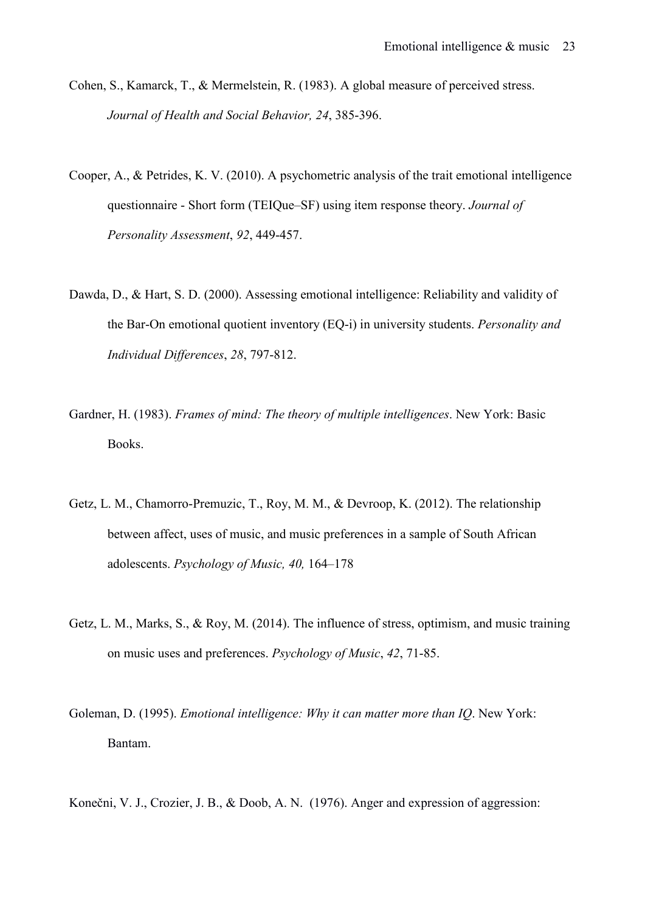- Cohen, S., Kamarck, T., & Mermelstein, R. (1983). A global measure of perceived stress. *Journal of Health and Social Behavior, 24*, 385-396.
- Cooper, A., & Petrides, K. V. (2010). A psychometric analysis of the trait emotional intelligence questionnaire - Short form (TEIQue–SF) using item response theory. *Journal of Personality Assessment*, *92*, 449-457.
- Dawda, D., & Hart, S. D. (2000). Assessing emotional intelligence: Reliability and validity of the Bar-On emotional quotient inventory (EQ-i) in university students. *Personality and Individual Differences*, *28*, 797-812.
- Gardner, H. (1983). *Frames of mind: The theory of multiple intelligences*. New York: Basic Books.
- Getz, L. M., Chamorro-Premuzic, T., Roy, M. M., & Devroop, K. (2012). The relationship between affect, uses of music, and music preferences in a sample of South African adolescents. *Psychology of Music, 40,* 164–178
- Getz, L. M., Marks, S., & Roy, M. (2014). The influence of stress, optimism, and music training on music uses and preferences. *Psychology of Music*, *42*, 71-85.
- Goleman, D. (1995). *Emotional intelligence: Why it can matter more than IQ*. New York: Bantam.
- Konečni, V. J., Crozier, J. B., & Doob, A. N. (1976). Anger and expression of aggression: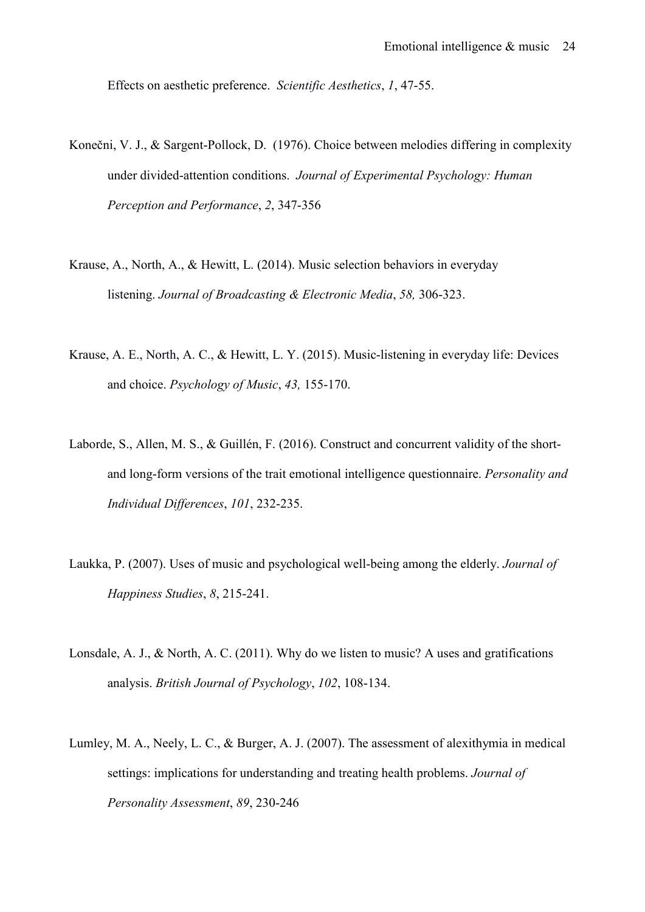Effects on aesthetic preference. *Scientific Aesthetics*, *1*, 47-55.

- Konečni, V. J., & Sargent-Pollock, D. (1976). Choice between melodies differing in complexity under divided-attention conditions. *Journal of Experimental Psychology: Human Perception and Performance*, *2*, 347-356
- Krause, A., North, A., & Hewitt, L. (2014). Music selection behaviors in everyday listening. *Journal of Broadcasting & Electronic Media*, *58,* 306-323.
- Krause, A. E., North, A. C., & Hewitt, L. Y. (2015). Music-listening in everyday life: Devices and choice. *Psychology of Music*, *43,* 155-170.
- Laborde, S., Allen, M. S., & Guillén, F. (2016). Construct and concurrent validity of the shortand long-form versions of the trait emotional intelligence questionnaire. *Personality and Individual Differences*, *101*, 232-235.
- Laukka, P. (2007). Uses of music and psychological well-being among the elderly. *Journal of Happiness Studies*, *8*, 215-241.
- Lonsdale, A. J., & North, A. C. (2011). Why do we listen to music? A uses and gratifications analysis. *British Journal of Psychology*, *102*, 108-134.
- Lumley, M. A., Neely, L. C., & Burger, A. J. (2007). The assessment of alexithymia in medical settings: implications for understanding and treating health problems. *Journal of Personality Assessment*, *89*, 230-246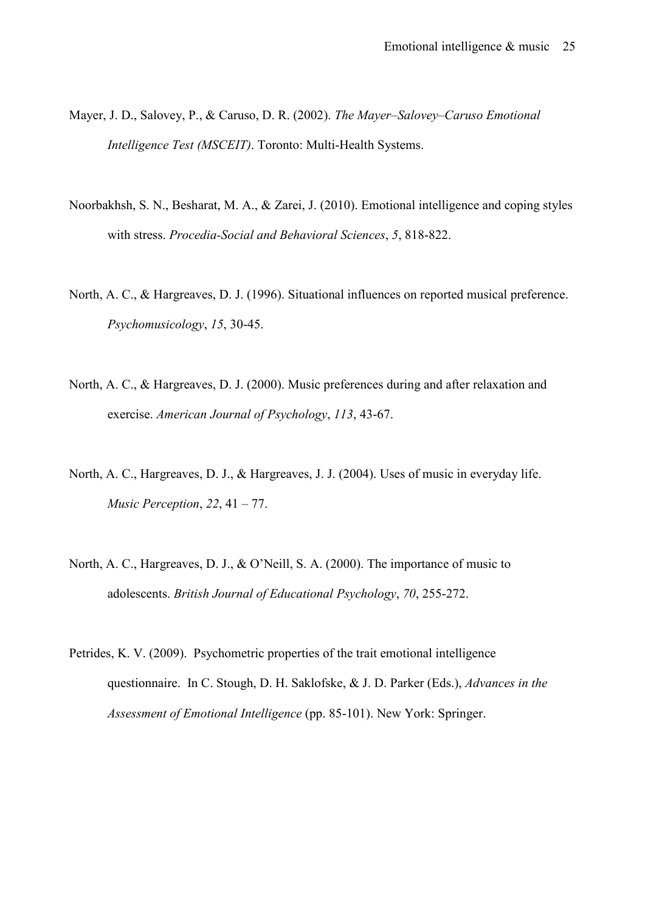- Mayer, J. D., Salovey, P., & Caruso, D. R. (2002). *The Mayer–Salovey–Caruso Emotional Intelligence Test (MSCEIT)*. Toronto: Multi-Health Systems.
- Noorbakhsh, S. N., Besharat, M. A., & Zarei, J. (2010). Emotional intelligence and coping styles with stress. *Procedia-Social and Behavioral Sciences*, *5*, 818-822.
- North, A. C., & Hargreaves, D. J. (1996). Situational influences on reported musical preference. *Psychomusicology*, *15*, 30-45.
- North, A. C., & Hargreaves, D. J. (2000). Music preferences during and after relaxation and exercise. *American Journal of Psychology*, *113*, 43-67.
- North, A. C., Hargreaves, D. J., & Hargreaves, J. J. (2004). Uses of music in everyday life. *Music Perception*, *22*, 41 – 77.
- North, A. C., Hargreaves, D. J., & O'Neill, S. A. (2000). The importance of music to adolescents. *British Journal of Educational Psychology*, *70*, 255-272.
- Petrides, K. V. (2009). Psychometric properties of the trait emotional intelligence questionnaire. In C. Stough, D. H. Saklofske, & J. D. Parker (Eds.), *Advances in the Assessment of Emotional Intelligence* (pp. 85-101). New York: Springer.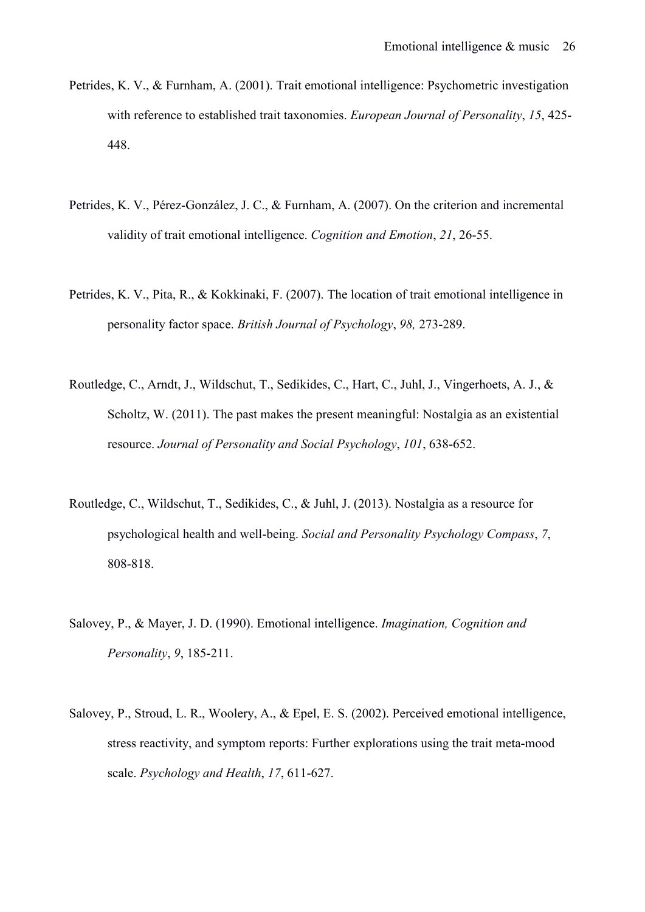- Petrides, K. V., & Furnham, A. (2001). Trait emotional intelligence: Psychometric investigation with reference to established trait taxonomies. *European Journal of Personality*, *15*, 425- 448.
- Petrides, K. V., Pérez-González, J. C., & Furnham, A. (2007). On the criterion and incremental validity of trait emotional intelligence. *Cognition and Emotion*, *21*, 26-55.
- Petrides, K. V., Pita, R., & Kokkinaki, F. (2007). The location of trait emotional intelligence in personality factor space. *British Journal of Psychology*, *98,* 273-289.
- Routledge, C., Arndt, J., Wildschut, T., Sedikides, C., Hart, C., Juhl, J., Vingerhoets, A. J., & Scholtz, W. (2011). The past makes the present meaningful: Nostalgia as an existential resource. *Journal of Personality and Social Psychology*, *101*, 638-652.
- Routledge, C., Wildschut, T., Sedikides, C., & Juhl, J. (2013). Nostalgia as a resource for psychological health and well-being. *Social and Personality Psychology Compass*, *7*, 808-818.
- Salovey, P., & Mayer, J. D. (1990). Emotional intelligence. *Imagination, Cognition and Personality*, *9*, 185-211.
- Salovey, P., Stroud, L. R., Woolery, A., & Epel, E. S. (2002). Perceived emotional intelligence, stress reactivity, and symptom reports: Further explorations using the trait meta-mood scale. *Psychology and Health*, *17*, 611-627.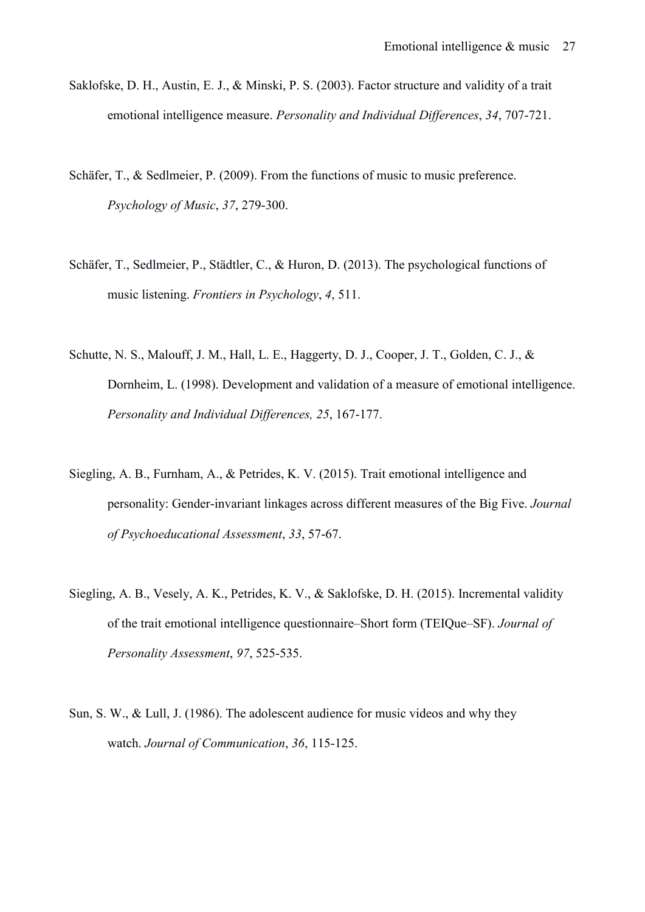- Saklofske, D. H., Austin, E. J., & Minski, P. S. (2003). Factor structure and validity of a trait emotional intelligence measure. *Personality and Individual Differences*, *34*, 707-721.
- Schäfer, T., & Sedlmeier, P. (2009). From the functions of music to music preference. *Psychology of Music*, *37*, 279-300.
- Schäfer, T., Sedlmeier, P., Städtler, C., & Huron, D. (2013). The psychological functions of music listening. *Frontiers in Psychology*, *4*, 511.
- Schutte, N. S., Malouff, J. M., Hall, L. E., Haggerty, D. J., Cooper, J. T., Golden, C. J., & Dornheim, L. (1998). Development and validation of a measure of emotional intelligence. *Personality and Individual Differences, 25*, 167-177.
- Siegling, A. B., Furnham, A., & Petrides, K. V. (2015). Trait emotional intelligence and personality: Gender-invariant linkages across different measures of the Big Five. *Journal of Psychoeducational Assessment*, *33*, 57-67.
- Siegling, A. B., Vesely, A. K., Petrides, K. V., & Saklofske, D. H. (2015). Incremental validity of the trait emotional intelligence questionnaire–Short form (TEIQue–SF). *Journal of Personality Assessment*, *97*, 525-535.
- Sun, S. W., & Lull, J. (1986). The adolescent audience for music videos and why they watch. *Journal of Communication*, *36*, 115-125.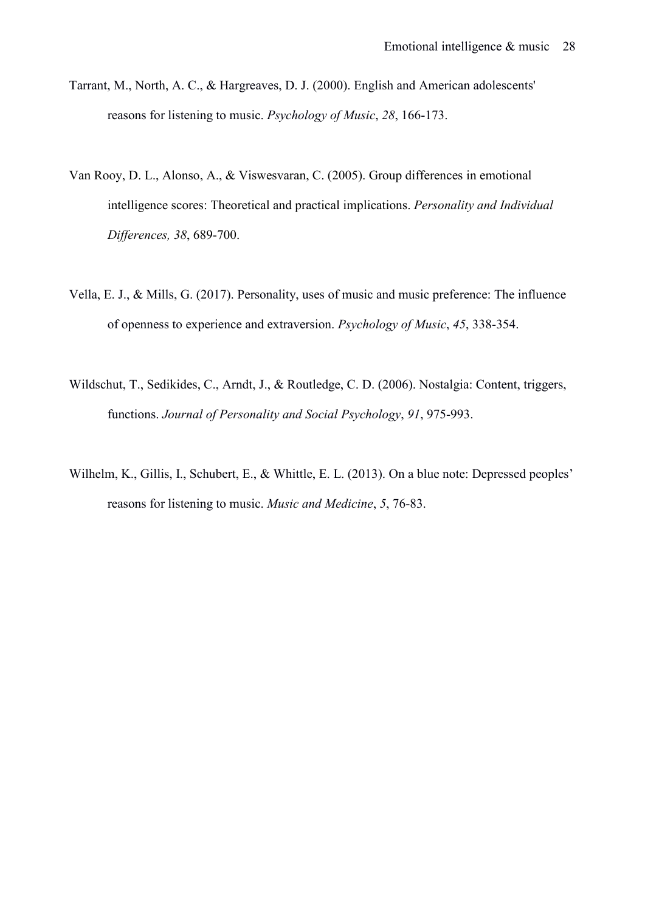- Tarrant, M., North, A. C., & Hargreaves, D. J. (2000). English and American adolescents' reasons for listening to music. *Psychology of Music*, *28*, 166-173.
- Van Rooy, D. L., Alonso, A., & Viswesvaran, C. (2005). Group differences in emotional intelligence scores: Theoretical and practical implications. *Personality and Individual Differences, 38*, 689-700.
- Vella, E. J., & Mills, G. (2017). Personality, uses of music and music preference: The influence of openness to experience and extraversion. *Psychology of Music*, *45*, 338-354.
- Wildschut, T., Sedikides, C., Arndt, J., & Routledge, C. D. (2006). Nostalgia: Content, triggers, functions. *Journal of Personality and Social Psychology*, *91*, 975-993.
- Wilhelm, K., Gillis, I., Schubert, E., & Whittle, E. L. (2013). On a blue note: Depressed peoples' reasons for listening to music. *Music and Medicine*, *5*, 76-83.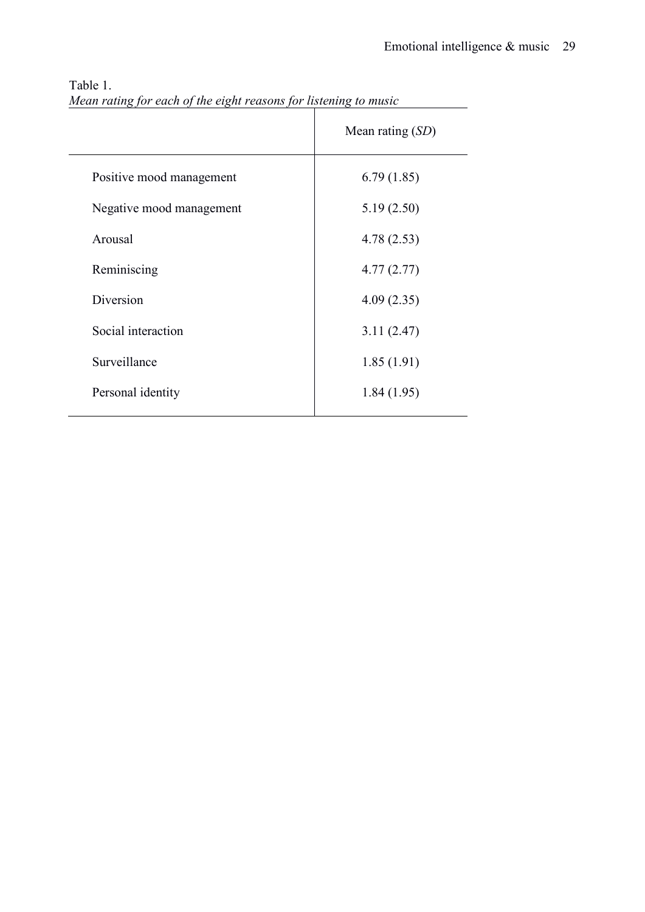|                          | Mean rating $(SD)$ |
|--------------------------|--------------------|
| Positive mood management | 6.79(1.85)         |
| Negative mood management | 5.19(2.50)         |
| Arousal                  | 4.78(2.53)         |
| Reminiscing              | 4.77(2.77)         |
| Diversion                | 4.09(2.35)         |
| Social interaction       | 3.11(2.47)         |
| Surveillance             | 1.85(1.91)         |
| Personal identity        | 1.84(1.95)         |
|                          |                    |

# Table 1. *Mean rating for each of the eight reasons for listening to music*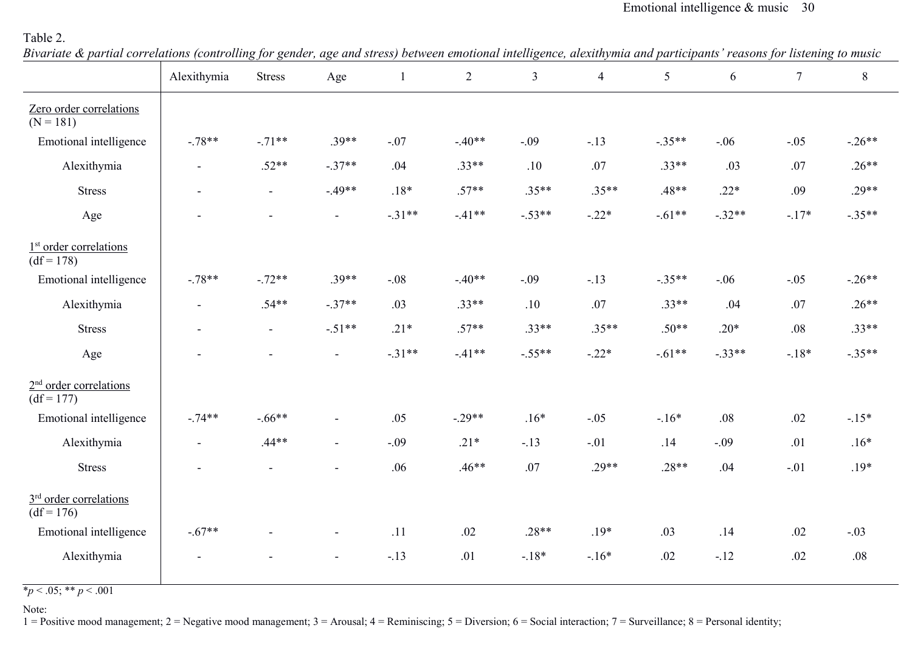## Emotional intelligence & music 30

# Table 2.

*Bivariate & partial correlations (controlling for gender, age and stress) between emotional intelligence, alexithymia and participants' reasons for listening to music* 

|                                                    | Alexithymia    | <b>Stress</b>  | Age                      | $\mathbf{1}$ | $\overline{2}$ | $\mathfrak{Z}$ | $\overline{4}$ | 5        | 6        | $\tau$  | $8\,$    |
|----------------------------------------------------|----------------|----------------|--------------------------|--------------|----------------|----------------|----------------|----------|----------|---------|----------|
| Zero order correlations<br>$(N = 181)$             |                |                |                          |              |                |                |                |          |          |         |          |
| Emotional intelligence                             | $-.78**$       | $-.71**$       | $.39**$                  | $-.07$       | $-.40**$       | $-.09$         | $-.13$         | $-.35**$ | $-.06$   | $-.05$  | $-.26**$ |
| Alexithymia                                        | $\blacksquare$ | $.52**$        | $-.37**$                 | .04          | $.33**$        | .10            | .07            | $.33**$  | .03      | .07     | $.26**$  |
| <b>Stress</b>                                      | $\sim$         | $\blacksquare$ | $-.49**$                 | $.18*$       | $.57**$        | $.35**$        | $.35**$        | $.48**$  | $.22*$   | .09     | $.29**$  |
| Age                                                |                | $\blacksquare$ | $\sim$                   | $-.31**$     | $-.41**$       | $-.53**$       | $-.22*$        | $-.61**$ | $-.32**$ | $-17*$  | $-.35**$ |
| 1 <sup>st</sup> order correlations<br>$(df = 178)$ |                |                |                          |              |                |                |                |          |          |         |          |
| Emotional intelligence                             | $-.78**$       | $-.72**$       | $.39**$                  | $-.08$       | $-.40**$       | $-.09$         | $-.13$         | $-.35**$ | $-.06$   | $-.05$  | $-.26**$ |
| Alexithymia                                        | $\blacksquare$ | $.54**$        | $-.37**$                 | .03          | $.33**$        | .10            | .07            | $.33**$  | .04      | .07     | $.26**$  |
| <b>Stress</b>                                      | $\sim$         | $\blacksquare$ | $-.51**$                 | $.21*$       | $.57**$        | $.33**$        | $.35**$        | $.50**$  | $.20*$   | $.08\,$ | $.33**$  |
| Age                                                |                | $\blacksquare$ | $\blacksquare$           | $-.31**$     | $-.41**$       | $-.55**$       | $-.22*$        | $-.61**$ | $-.33**$ | $-18*$  | $-.35**$ |
| $2nd$ order correlations<br>$(df = 177)$           |                |                |                          |              |                |                |                |          |          |         |          |
| Emotional intelligence                             | $-.74**$       | $-.66**$       | $\blacksquare$           | .05          | $-.29**$       | $.16*$         | $-.05$         | $-.16*$  | .08      | .02     | $-15*$   |
| Alexithymia                                        | $\blacksquare$ | $.44**$        | $\blacksquare$           | $-.09$       | $.21*$         | $-.13$         | $-.01$         | .14      | $-.09$   | .01     | $.16*$   |
| <b>Stress</b>                                      | $\equiv$       | $\blacksquare$ | $\overline{\phantom{a}}$ | .06          | $.46**$        | .07            | $.29**$        | $.28**$  | .04      | $-.01$  | $.19*$   |
| 3 <sup>rd</sup> order correlations<br>$(df = 176)$ |                |                |                          |              |                |                |                |          |          |         |          |
| Emotional intelligence                             | $-.67**$       | $\overline{a}$ | $\blacksquare$           | .11          | .02            | $.28**$        | $.19*$         | .03      | .14      | .02     | $-.03$   |
| Alexithymia                                        |                |                | $\blacksquare$           | $-.13$       | .01            | $-18*$         | $-16*$         | .02      | $-.12$   | .02     | .08      |

 $\overline{\ast p}$  < .05;  $\overline{\ast p}$  < .001

Note:

1 = Positive mood management; 2 = Negative mood management; 3 = Arousal; 4 = Reminiscing; 5 = Diversion; 6 = Social interaction; 7 = Surveillance; 8 = Personal identity;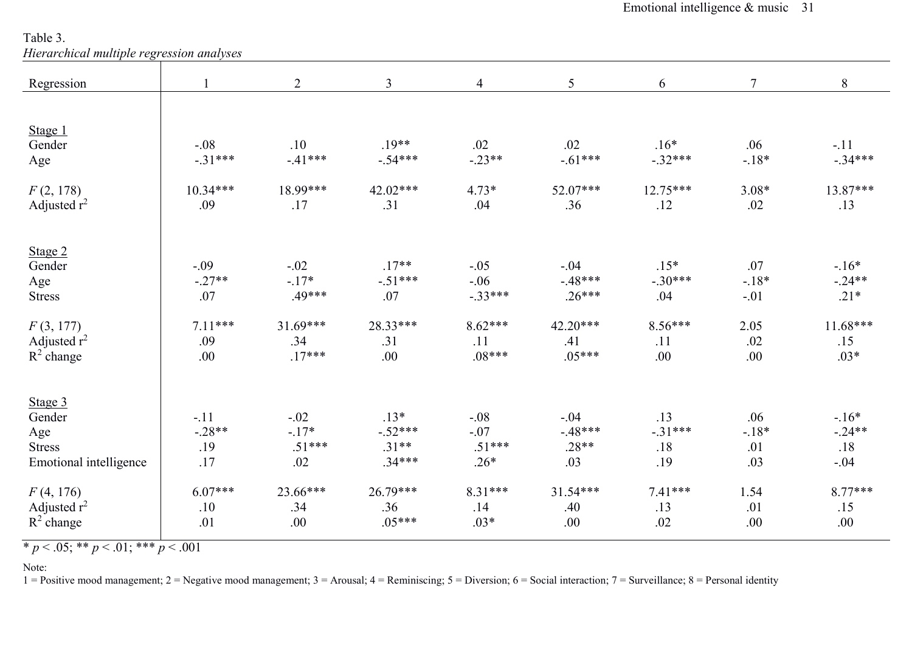Table 3. *Hierarchical multiple regression analyses* 

| rherarchical muttiple regression analyses |                                                 |                                                 |                                                    |                                                               |                                                                     |                                                |                                                     |
|-------------------------------------------|-------------------------------------------------|-------------------------------------------------|----------------------------------------------------|---------------------------------------------------------------|---------------------------------------------------------------------|------------------------------------------------|-----------------------------------------------------|
|                                           | $\overline{2}$                                  | $\mathfrak{Z}$                                  | $\overline{4}$                                     | 5                                                             | 6                                                                   | $7\overline{ }$                                | 8                                                   |
|                                           |                                                 |                                                 |                                                    |                                                               |                                                                     |                                                |                                                     |
|                                           |                                                 |                                                 |                                                    |                                                               |                                                                     |                                                |                                                     |
| $-.08$                                    | .10                                             | $.19**$                                         | .02                                                | .02                                                           | $.16*$                                                              | .06                                            | $-.11$                                              |
| $-.31***$                                 | $-.41***$                                       | $-.54***$                                       |                                                    |                                                               | $-.32***$                                                           | $-.18*$                                        | $-.34***$                                           |
| $10.34***$                                | 18.99***                                        | $42.02***$                                      | $4.73*$                                            | 52.07***                                                      | $12.75***$                                                          |                                                | 13.87***                                            |
| .09                                       | .17                                             | .31                                             | .04                                                | .36                                                           | .12                                                                 | .02                                            | .13                                                 |
|                                           |                                                 |                                                 |                                                    |                                                               |                                                                     |                                                |                                                     |
|                                           |                                                 |                                                 |                                                    |                                                               |                                                                     |                                                |                                                     |
|                                           |                                                 |                                                 |                                                    |                                                               |                                                                     |                                                | $-16*$<br>$-.24**$                                  |
|                                           |                                                 |                                                 |                                                    |                                                               |                                                                     |                                                | $.21*$                                              |
|                                           |                                                 |                                                 |                                                    |                                                               |                                                                     |                                                |                                                     |
| $7.11***$                                 | $31.69***$                                      | 28.33***                                        | $8.62***$                                          | 42.20***                                                      | $8.56***$                                                           | 2.05                                           | $11.68***$                                          |
| .09                                       | .34                                             | .31                                             | .11                                                | .41                                                           | .11                                                                 | .02                                            | .15                                                 |
| .00                                       | $.17***$                                        | .00                                             | $.08***$                                           | $.05***$                                                      | .00                                                                 | .00                                            | $.03*$                                              |
|                                           |                                                 |                                                 |                                                    |                                                               |                                                                     |                                                |                                                     |
|                                           |                                                 |                                                 |                                                    |                                                               |                                                                     |                                                | $-16*$                                              |
|                                           |                                                 |                                                 |                                                    |                                                               |                                                                     |                                                | $-.24**$                                            |
| .19                                       | $.51***$                                        | $.31**$                                         | $.51***$                                           | $.28**$                                                       | .18                                                                 | .01                                            | .18                                                 |
| .17                                       | .02                                             | $.34***$                                        | $.26*$                                             | .03                                                           | .19                                                                 | .03                                            | $-.04$                                              |
| $6.07***$                                 | 23.66***                                        | $26.79***$                                      | 8.31***                                            | $31.54***$                                                    | $7.41***$                                                           | 1.54                                           | $8.77***$                                           |
| .10                                       | .34                                             | .36                                             | .14                                                | .40                                                           | .13                                                                 | .01                                            | .15                                                 |
| .01                                       | .00                                             | $.05***$                                        | $.03*$                                             | .00.                                                          | .02                                                                 | .00                                            | .00.                                                |
|                                           | $-.09$<br>$-.27**$<br>.07<br>$-.11$<br>$-.28**$ | $-.02$<br>$-.17*$<br>.49***<br>$-.02$<br>$-17*$ | $.17**$<br>$-.51***$<br>.07<br>$.13*$<br>$-.52***$ | $-.23**$<br>$-.05$<br>$-.06$<br>$-.33***$<br>$-.08$<br>$-.07$ | $-.61***$<br>$-.04$<br>$-.48***$<br>$.26***$<br>$-.04$<br>$-.48***$ | $.15*$<br>$-.30***$<br>.04<br>.13<br>$-.31***$ | $3.08*$<br>.07<br>$-18*$<br>$-.01$<br>.06<br>$-18*$ |

 $\overline{\ast p}$  < .05;  $\overline{\ast p}$  < .01;  $\overline{\ast \ast p}$  < .001

Note:

1 = Positive mood management; 2 = Negative mood management; 3 = Arousal; 4 = Reminiscing; 5 = Diversion; 6 = Social interaction; 7 = Surveillance; 8 = Personal identity